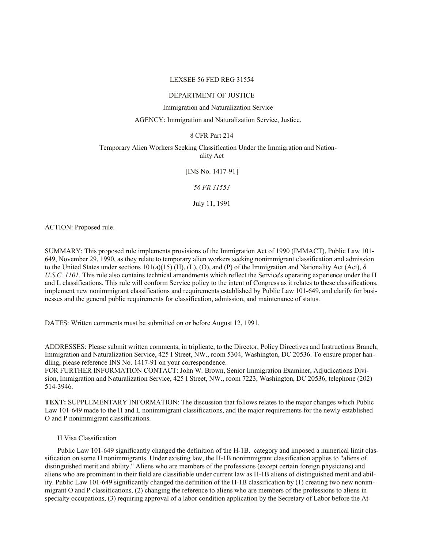## LEXSEE 56 FED REG 31554

## DEPARTMENT OF JUSTICE

## Immigration and Naturalization Service

# AGENCY: Immigration and Naturalization Service, Justice.

# 8 CFR Part 214

# Temporary Alien Workers Seeking Classification Under the Immigration and Nationality Act

[INS No. 1417-91]

*56 FR 31553*

July 11, 1991

ACTION: Proposed rule.

SUMMARY: This proposed rule implements provisions of the Immigration Act of 1990 (IMMACT), Public Law 101- 649, November 29, 1990, as they relate to temporary alien workers seeking nonimmigrant classification and admission to the United States under sections 101(a)(15) (H), (L), (O), and (P) of the Immigration and Nationality Act (Act), *8 U.S.C. 1101.* This rule also contains technical amendments which reflect the Service's operating experience under the H and L classifications. This rule will conform Service policy to the intent of Congress as it relates to these classifications, implement new nonimmigrant classifications and requirements established by Public Law 101-649, and clarify for businesses and the general public requirements for classification, admission, and maintenance of status.

DATES: Written comments must be submitted on or before August 12, 1991.

ADDRESSES: Please submit written comments, in triplicate, to the Director, Policy Directives and Instructions Branch, Immigration and Naturalization Service, 425 I Street, NW., room 5304, Washington, DC 20536. To ensure proper handling, please reference INS No. 1417-91 on your correspondence.

FOR FURTHER INFORMATION CONTACT: John W. Brown, Senior Immigration Examiner, Adjudications Division, Immigration and Naturalization Service, 425 I Street, NW., room 7223, Washington, DC 20536, telephone (202) 514-3946.

**TEXT:** SUPPLEMENTARY INFORMATION: The discussion that follows relates to the major changes which Public Law 101-649 made to the H and L nonimmigrant classifications, and the major requirements for the newly established O and P nonimmigrant classifications.

# H Visa Classification

Public Law 101-649 significantly changed the definition of the H-1B. category and imposed a numerical limit classification on some H nonimmigrants. Under existing law, the H-1B nonimmigrant classification applies to "aliens of distinguished merit and ability." Aliens who are members of the professions (except certain foreign physicians) and aliens who are prominent in their field are classifiable under current law as H-1B aliens of distinguished merit and ability. Public Law 101-649 significantly changed the definition of the H-1B classification by (1) creating two new nonimmigrant O and P classifications, (2) changing the reference to aliens who are members of the professions to aliens in specialty occupations, (3) requiring approval of a labor condition application by the Secretary of Labor before the At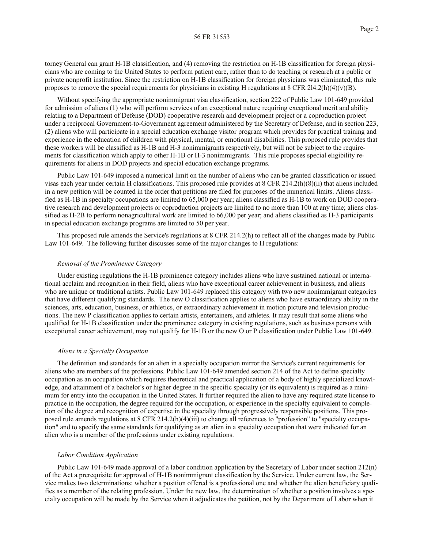torney General can grant H-1B classification, and (4) removing the restriction on H-1B classification for foreign physicians who are coming to the United States to perform patient care, rather than to do teaching or research at a public or private nonprofit institution. Since the restriction on H-1B classification for foreign physicians was eliminated, this rule proposes to remove the special requirements for physicians in existing H regulations at 8 CFR 2l4.2(h)(4)(v)(B).

Without specifying the appropriate nonimmigrant visa classification, section 222 of Public Law 101-649 provided for admission of aliens (1) who will perform services of an exceptional nature requiring exceptional merit and ability relating to a Department of Defense (DOD) cooperative research and development project or a coproduction project under a reciprocal Government-to-Government agreement administered by the Secretary of Defense, and in section 223, (2) aliens who will participate in a special education exchange visitor program which provides for practical training and experience in the education of children with physical, mental, or emotional disabilities. This proposed rule provides that these workers will be classified as H-1B and H-3 nonimmigrants respectively, but will not be subject to the requirements for classification which apply to other H-1B or H-3 nonimmigrants. This rule proposes special eligibility requirements for aliens in DOD projects and special education exchange programs.

Public Law 101-649 imposed a numerical limit on the number of aliens who can be granted classification or issued visas each year under certain H classifications. This proposed rule provides at 8 CFR 214.2(h)(8)(ii) that aliens included in a new petition will be counted in the order that petitions are filed for purposes of the numerical limits. Aliens classified as H-1B in specialty occupations are limited to 65,000 per year; aliens classified as H-1B to work on DOD cooperative research and development projects or coproduction projects are limited to no more than 100 at any time; aliens classified as H-2B to perform nonagricultural work are limited to 66,000 per year; and aliens classified as H-3 participants in special education exchange programs are limited to 50 per year.

This proposed rule amends the Service's regulations at 8 CFR 214.2(h) to reflect all of the changes made by Public Law 101-649. The following further discusses some of the major changes to H regulations:

## *Removal of the Prominence Category*

Under existing regulations the H-1B prominence category includes aliens who have sustained national or international acclaim and recognition in their field, aliens who have exceptional career achievement in business, and aliens who are unique or traditional artists. Public Law 101-649 replaced this category with two new nonimmigrant categories that have different qualifying standards. The new O classification applies to aliens who have extraordinary ability in the sciences, arts, education, business, or athletics, or extraordinary achievement in motion picture and television productions. The new P classification applies to certain artists, entertainers, and athletes. It may result that some aliens who qualified for H-1B classification under the prominence category in existing regulations, such as business persons with exceptional career achievement, may not qualify for H-1B or the new O or P classification under Public Law 101-649.

### *Aliens in a Specialty Occupation*

The definition and standards for an alien in a specialty occupation mirror the Service's current requirements for aliens who are members of the professions. Public Law 101-649 amended section 214 of the Act to define specialty occupation as an occupation which requires theoretical and practical application of a body of highly specialized knowledge, and attainment of a bachelor's or higher degree in the specific specialty (or its equivalent) is required as a minimum for entry into the occupation in the United States. It further required the alien to have any required state license to practice in the occupation, the degree required for the occupation, or experience in the specialty equivalent to completion of the degree and recognition of expertise in the specialty through progressively responsible positions. This proposed rule amends regulations at 8 CFR 214.2(h)(4)(iii) to change all references to "profession" to "specialty occupation" and to specify the same standards for qualifying as an alien in a specialty occupation that were indicated for an alien who is a member of the professions under existing regulations.

### *Labor Condition Application*

Public Law 101-649 made approval of a labor condition application by the Secretary of Labor under section 212(n) of the Act a prerequisite for approval of H-1B nonimmigrant classification by the Service. Under current law, the Service makes two determinations: whether a position offered is a professional one and whether the alien beneficiary qualifies as a member of the relating profession. Under the new law, the determination of whether a position involves a specialty occupation will be made by the Service when it adjudicates the petition, not by the Department of Labor when it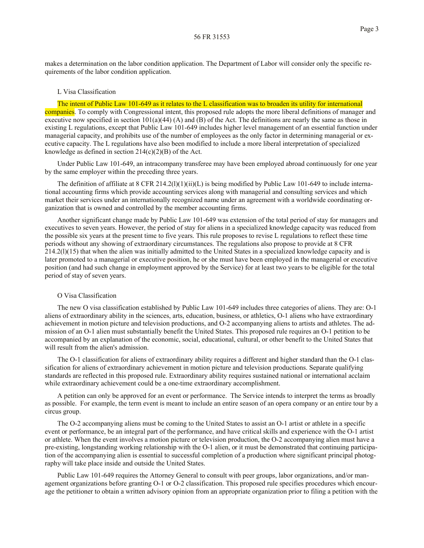makes a determination on the labor condition application. The Department of Labor will consider only the specific requirements of the labor condition application.

## L Visa Classification

The intent of Public Law 101-649 as it relates to the L classification was to broaden its utility for international companies. To comply with Congressional intent, this proposed rule adopts the more liberal definitions of manager and executive now specified in section  $101(a)(44)$  (A) and (B) of the Act. The definitions are nearly the same as those in existing L regulations, except that Public Law 101-649 includes higher level management of an essential function under managerial capacity, and prohibits use of the number of employees as the only factor in determining managerial or executive capacity. The L regulations have also been modified to include a more liberal interpretation of specialized knowledge as defined in section  $214(c)(2)(B)$  of the Act.

Under Public Law 101-649, an intracompany transferee may have been employed abroad continuously for one year by the same employer within the preceding three years.

The definition of affiliate at 8 CFR 214.2(l)(1)(ii)(L) is being modified by Public Law 101-649 to include international accounting firms which provide accounting services along with managerial and consulting services and which market their services under an internationally recognized name under an agreement with a worldwide coordinating organization that is owned and controlled by the member accounting firms.

Another significant change made by Public Law 101-649 was extension of the total period of stay for managers and executives to seven years. However, the period of stay for aliens in a specialized knowledge capacity was reduced from the possible six years at the present time to five years. This rule proposes to revise L regulations to reflect these time periods without any showing of extraordinary circumstances. The regulations also propose to provide at 8 CFR  $214.2(1)(15)$  that when the alien was initially admitted to the United States in a specialized knowledge capacity and is later promoted to a managerial or executive position, he or she must have been employed in the managerial or executive position (and had such change in employment approved by the Service) for at least two years to be eligible for the total period of stay of seven years.

#### O Visa Classification

The new O visa classification established by Public Law 101-649 includes three categories of aliens. They are: O-1 aliens of extraordinary ability in the sciences, arts, education, business, or athletics, O-1 aliens who have extraordinary achievement in motion picture and television productions, and O-2 accompanying aliens to artists and athletes. The admission of an O-1 alien must substantially benefit the United States. This proposed rule requires an O-1 petition to be accompanied by an explanation of the economic, social, educational, cultural, or other benefit to the United States that will result from the alien's admission.

The O-1 classification for aliens of extraordinary ability requires a different and higher standard than the O-1 classification for aliens of extraordinary achievement in motion picture and television productions. Separate qualifying standards are reflected in this proposed rule. Extraordinary ability requires sustained national or international acclaim while extraordinary achievement could be a one-time extraordinary accomplishment.

A petition can only be approved for an event or performance. The Service intends to interpret the terms as broadly as possible. For example, the term event is meant to include an entire season of an opera company or an entire tour by a circus group.

The O-2 accompanying aliens must be coming to the United States to assist an O-1 artist or athlete in a specific event or performance, be an integral part of the performance, and have critical skills and experience with the O-1 artist or athlete. When the event involves a motion picture or television production, the O-2 accompanying alien must have a pre-existing, longstanding working relationship with the O-1 alien, or it must be demonstrated that continuing participation of the accompanying alien is essential to successful completion of a production where significant principal photography will take place inside and outside the United States.

Public Law 101-649 requires the Attorney General to consult with peer groups, labor organizations, and/or management organizations before granting O-1 or O-2 classification. This proposed rule specifies procedures which encourage the petitioner to obtain a written advisory opinion from an appropriate organization prior to filing a petition with the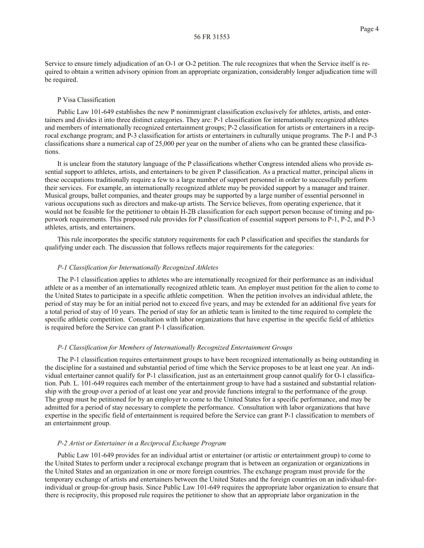Service to ensure timely adjudication of an O-1 or O-2 petition. The rule recognizes that when the Service itself is required to obtain a written advisory opinion from an appropriate organization, considerably longer adjudication time will be required.

### P Visa Classification

Public Law 101-649 establishes the new P nonimmigrant classification exclusively for athletes, artists, and entertainers and divides it into three distinct categories. They are: P-1 classification for internationally recognized athletes and members of internationally recognized entertainment groups; P-2 classification for artists or entertainers in a reciprocal exchange program; and P-3 classification for artists or entertainers in culturally unique programs. The P-1 and P-3 classifications share a numerical cap of 25,000 per year on the number of aliens who can be granted these classifications.

It is unclear from the statutory language of the P classifications whether Congress intended aliens who provide essential support to athletes, artists, and entertainers to be given P classification. As a practical matter, principal aliens in these occupations traditionally require a few to a large number of support personnel in order to successfully perform their services. For example, an internationally recognized athlete may be provided support by a manager and trainer. Musical groups, ballet companies, and theater groups may be supported by a large number of essential personnel in various occupations such as directors and make-up artists. The Service believes, from operating experience, that it would not be feasible for the petitioner to obtain H-2B classification for each support person because of timing and paperwork requirements. This proposed rule provides for P classification of essential support persons to P-1, P-2, and P-3 athletes, artists, and entertainers.

This rule incorporates the specific statutory requirements for each P classification and specifies the standards for qualifying under each. The discussion that follows reflects major requirements for the categories:

### *P-1 Classification for Internationally Recognized Athletes*

The P-1 classification applies to athletes who are internationally recognized for their performance as an individual athlete or as a member of an internationally recognized athletic team. An employer must petition for the alien to come to the United States to participate in a specific athletic competition. When the petition involves an individual athlete, the period of stay may be for an initial period not to exceed five years, and may be extended for an additional five years for a total period of stay of 10 years. The period of stay for an athletic team is limited to the time required to complete the specific athletic competition. Consultation with labor organizations that have expertise in the specific field of athletics is required before the Service can grant P-1 classification.

# *P-1 Classification for Members of Internationally Recognized Entertainment Groups*

The P-1 classification requires entertainment groups to have been recognized internationally as being outstanding in the discipline for a sustained and substantial period of time which the Service proposes to be at least one year. An individual entertainer cannot qualify for P-1 classification, just as an entertainment group cannot qualify for O-1 classification. Pub. L. 101-649 requires each member of the entertainment group to have had a sustained and substantial relationship with the group over a period of at least one year and provide functions integral to the performance of the group. The group must be petitioned for by an employer to come to the United States for a specific performance, and may be admitted for a period of stay necessary to complete the performance. Consultation with labor organizations that have expertise in the specific field of entertainment is required before the Service can grant P-1 classification to members of an entertainment group.

## *P-2 Artist or Entertainer in a Reciprocal Exchange Program*

Public Law 101-649 provides for an individual artist or entertainer (or artistic or entertainment group) to come to the United States to perform under a reciprocal exchange program that is between an organization or organizations in the United States and an organization in one or more foreign countries. The exchange program must provide for the temporary exchange of artists and entertainers between the United States and the foreign countries on an individual-forindividual or group-for-group basis. Since Public Law 101-649 requires the appropriate labor organization to ensure that there is reciprocity, this proposed rule requires the petitioner to show that an appropriate labor organization in the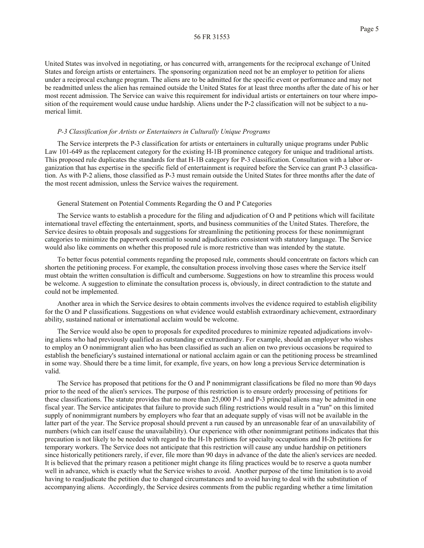United States was involved in negotiating, or has concurred with, arrangements for the reciprocal exchange of United States and foreign artists or entertainers. The sponsoring organization need not be an employer to petition for aliens under a reciprocal exchange program. The aliens are to be admitted for the specific event or performance and may not be readmitted unless the alien has remained outside the United States for at least three months after the date of his or her most recent admission. The Service can waive this requirement for individual artists or entertainers on tour where imposition of the requirement would cause undue hardship. Aliens under the P-2 classification will not be subject to a numerical limit.

## *P-3 Classification for Artists or Entertainers in Culturally Unique Programs*

The Service interprets the P-3 classification for artists or entertainers in culturally unique programs under Public Law 101-649 as the replacement category for the existing H-1B prominence category for unique and traditional artists. This proposed rule duplicates the standards for that H-1B category for P-3 classification. Consultation with a labor organization that has expertise in the specific field of entertainment is required before the Service can grant P-3 classification. As with P-2 aliens, those classified as P-3 must remain outside the United States for three months after the date of the most recent admission, unless the Service waives the requirement.

## General Statement on Potential Comments Regarding the O and P Categories

The Service wants to establish a procedure for the filing and adjudication of O and P petitions which will facilitate international travel effecting the entertainment, sports, and business communities of the United States. Therefore, the Service desires to obtain proposals and suggestions for streamlining the petitioning process for these nonimmigrant categories to minimize the paperwork essential to sound adjudications consistent with statutory language. The Service would also like comments on whether this proposed rule is more restrictive than was intended by the statute.

To better focus potential comments regarding the proposed rule, comments should concentrate on factors which can shorten the petitioning process. For example, the consultation process involving those cases where the Service itself must obtain the written consultation is difficult and cumbersome. Suggestions on how to streamline this process would be welcome. A suggestion to eliminate the consultation process is, obviously, in direct contradiction to the statute and could not be implemented.

Another area in which the Service desires to obtain comments involves the evidence required to establish eligibility for the O and P classifications. Suggestions on what evidence would establish extraordinary achievement, extraordinary ability, sustained national or international acclaim would be welcome.

The Service would also be open to proposals for expedited procedures to minimize repeated adjudications involving aliens who had previously qualified as outstanding or extraordinary. For example, should an employer who wishes to employ an O nonimmigrant alien who has been classified as such an alien on two previous occasions be required to establish the beneficiary's sustained international or national acclaim again or can the petitioning process be streamlined in some way. Should there be a time limit, for example, five years, on how long a previous Service determination is valid.

The Service has proposed that petitions for the O and P nonimmigrant classifications be filed no more than 90 days prior to the need of the alien's services. The purpose of this restriction is to ensure orderly processing of petitions for these classifications. The statute provides that no more than 25,000 P-1 and P-3 principal aliens may be admitted in one fiscal year. The Service anticipates that failure to provide such filing restrictions would result in a "run" on this limited supply of nonimmigrant numbers by employers who fear that an adequate supply of visas will not be available in the latter part of the year. The Service proposal should prevent a run caused by an unreasonable fear of an unavailability of numbers (which can itself cause the unavailability). Our experience with other nonimmigrant petitions indicates that this precaution is not likely to be needed with regard to the H-1b petitions for specialty occupations and H-2b petitions for temporary workers. The Service does not anticipate that this restriction will cause any undue hardship on petitioners since historically petitioners rarely, if ever, file more than 90 days in advance of the date the alien's services are needed. It is believed that the primary reason a petitioner might change its filing practices would be to reserve a quota number well in advance, which is exactly what the Service wishes to avoid. Another purpose of the time limitation is to avoid having to readjudicate the petition due to changed circumstances and to avoid having to deal with the substitution of accompanying aliens. Accordingly, the Service desires comments from the public regarding whether a time limitation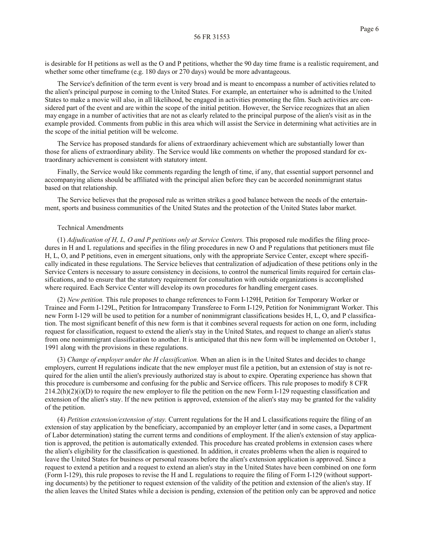is desirable for H petitions as well as the O and P petitions, whether the 90 day time frame is a realistic requirement, and whether some other timeframe (e.g. 180 days or 270 days) would be more advantageous.

The Service's definition of the term event is very broad and is meant to encompass a number of activities related to the alien's principal purpose in coming to the United States. For example, an entertainer who is admitted to the United States to make a movie will also, in all likelihood, be engaged in activities promoting the film. Such activities are considered part of the event and are within the scope of the initial petition. However, the Service recognizes that an alien may engage in a number of activities that are not as clearly related to the principal purpose of the alien's visit as in the example provided. Comments from public in this area which will assist the Service in determining what activities are in the scope of the initial petition will be welcome.

The Service has proposed standards for aliens of extraordinary achievement which are substantially lower than those for aliens of extraordinary ability. The Service would like comments on whether the proposed standard for extraordinary achievement is consistent with statutory intent.

Finally, the Service would like comments regarding the length of time, if any, that essential support personnel and accompanying aliens should be affiliated with the principal alien before they can be accorded nonimmigrant status based on that relationship.

The Service believes that the proposed rule as written strikes a good balance between the needs of the entertainment, sports and business communities of the United States and the protection of the United States labor market.

## Technical Amendments

(1) *Adjudication of H, L, O and P petitions only at Service Centers.* This proposed rule modifies the filing procedures in H and L regulations and specifies in the filing procedures in new O and P regulations that petitioners must file H, L, O, and P petitions, even in emergent situations, only with the appropriate Service Center, except where specifically indicated in these regulations. The Service believes that centralization of adjudication of these petitions only in the Service Centers is necessary to assure consistency in decisions, to control the numerical limits required for certain classifications, and to ensure that the statutory requirement for consultation with outside organizations is accomplished where required. Each Service Center will develop its own procedures for handling emergent cases.

(2) *New petition.* This rule proposes to change references to Form I-129H, Petition for Temporary Worker or Trainee and Form I-129L, Petition for Intracompany Transferee to Form I-129, Petition for Nonimmigrant Worker. This new Form I-129 will be used to petition for a number of nonimmigrant classifications besides H, L, O, and P classification. The most significant benefit of this new form is that it combines several requests for action on one form, including request for classification, request to extend the alien's stay in the United States, and request to change an alien's status from one nonimmigrant classification to another. It is anticipated that this new form will be implemented on October 1, 1991 along with the provisions in these regulations.

(3) *Change of employer under the H classification.* When an alien is in the United States and decides to change employers, current H regulations indicate that the new employer must file a petition, but an extension of stay is not required for the alien until the alien's previously authorized stay is about to expire. Operating experience has shown that this procedure is cumbersome and confusing for the public and Service officers. This rule proposes to modify 8 CFR  $214.2(h)(2)(i)(D)$  to require the new employer to file the petition on the new Form I-129 requesting classification and extension of the alien's stay. If the new petition is approved, extension of the alien's stay may be granted for the validity of the petition.

(4) *Petition extension/extension of stay.* Current regulations for the H and L classifications require the filing of an extension of stay application by the beneficiary, accompanied by an employer letter (and in some cases, a Department of Labor determination) stating the current terms and conditions of employment. If the alien's extension of stay application is approved, the petition is automatically extended. This procedure has created problems in extension cases where the alien's eligibility for the classification is questioned. In addition, it creates problems when the alien is required to leave the United States for business or personal reasons before the alien's extension application is approved. Since a request to extend a petition and a request to extend an alien's stay in the United States have been combined on one form (Form I-129), this rule proposes to revise the H and L regulations to require the filing of Form I-129 (without supporting documents) by the petitioner to request extension of the validity of the petition and extension of the alien's stay. If the alien leaves the United States while a decision is pending, extension of the petition only can be approved and notice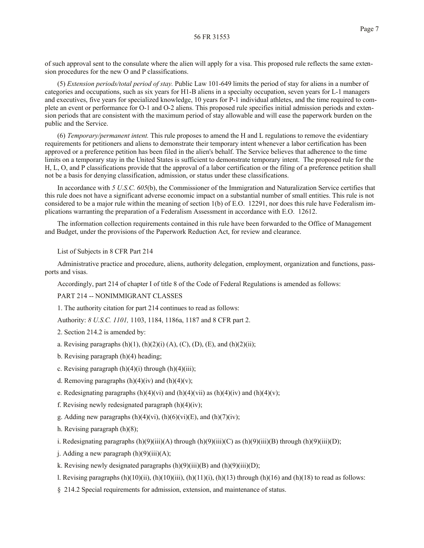of such approval sent to the consulate where the alien will apply for a visa. This proposed rule reflects the same extension procedures for the new O and P classifications.

(5) *Extension periods/total period of stay.* Public Law 101-649 limits the period of stay for aliens in a number of categories and occupations, such as six years for H1-B aliens in a specialty occupation, seven years for L-1 managers and executives, five years for specialized knowledge, 10 years for P-1 individual athletes, and the time required to complete an event or performance for O-1 and O-2 aliens. This proposed rule specifies initial admission periods and extension periods that are consistent with the maximum period of stay allowable and will ease the paperwork burden on the public and the Service.

(6) *Temporary/permanent intent.* This rule proposes to amend the H and L regulations to remove the evidentiary requirements for petitioners and aliens to demonstrate their temporary intent whenever a labor certification has been approved or a preference petition has been filed in the alien's behalf. The Service believes that adherence to the time limits on a temporary stay in the United States is sufficient to demonstrate temporary intent. The proposed rule for the H, L, O, and P classifications provide that the approval of a labor certification or the filing of a preference petition shall not be a basis for denying classification, admission, or status under these classifications.

In accordance with *5 U.S.C. 605*(b), the Commissioner of the Immigration and Naturalization Service certifies that this rule does not have a significant adverse economic impact on a substantial number of small entities. This rule is not considered to be a major rule within the meaning of section 1(b) of E.O. 12291, nor does this rule have Federalism implications warranting the preparation of a Federalism Assessment in accordance with E.O. 12612.

The information collection requirements contained in this rule have been forwarded to the Office of Management and Budget, under the provisions of the Paperwork Reduction Act, for review and clearance.

List of Subjects in 8 CFR Part 214

Administrative practice and procedure, aliens, authority delegation, employment, organization and functions, passports and visas.

Accordingly, part 214 of chapter I of title 8 of the Code of Federal Regulations is amended as follows:

PART 214 -- NONIMMIGRANT CLASSES

1. The authority citation for part 214 continues to read as follows:

Authority: *8 U.S.C. 1101,* 1103, 1184, 1186a, 1187 and 8 CFR part 2.

2. Section 214.2 is amended by:

- a. Revising paragraphs  $(h)(1)$ ,  $(h)(2)(i)$   $(A)$ ,  $(C)$ ,  $(D)$ ,  $(E)$ , and  $(h)(2)(ii)$ ;
- b. Revising paragraph (h)(4) heading;
- c. Revising paragraph  $(h)(4)(i)$  through  $(h)(4)(iii)$ ;
- d. Removing paragraphs  $(h)(4)(iv)$  and  $(h)(4)(v)$ ;
- e. Redesignating paragraphs  $(h)(4)(vi)$  and  $(h)(4)(vii)$  as  $(h)(4)(iv)$  and  $(h)(4)(v)$ ;
- f. Revising newly redesignated paragraph  $(h)(4)(iv)$ ;
- g. Adding new paragraphs  $(h)(4)(vi)$ ,  $(h)(6)(vi)(E)$ , and  $(h)(7)(iv)$ ;
- h. Revising paragraph (h)(8);
- i. Redesignating paragraphs  $(h)(9)(iii)(A)$  through  $(h)(9)(iii)(C)$  as  $(h)(9)(iii)(B)$  through  $(h)(9)(iii)(D)$ ;
- j. Adding a new paragraph  $(h)(9)(iii)(A);$
- k. Revising newly designated paragraphs  $(h)(9)(iii)(B)$  and  $(h)(9)(iii)(D)$ ;
- l. Revising paragraphs  $(h)(10)(ii)$ ,  $(h)(10)(iii)$ ,  $(h)(11)(i)$ ,  $(h)(13)$  through  $(h)(16)$  and  $(h)(18)$  to read as follows:
- § 214.2 Special requirements for admission, extension, and maintenance of status.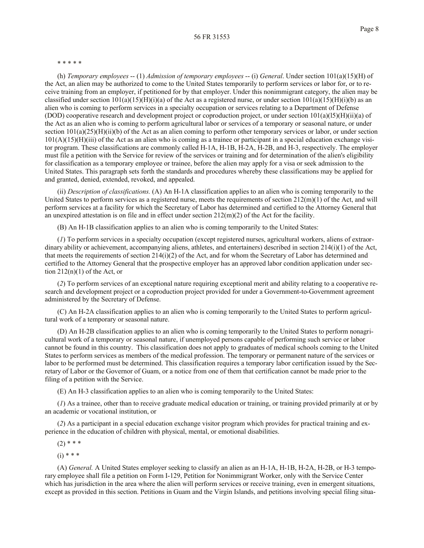#### \* \* \* \* \*

(h) *Temporary employees* -- (1) *Admission of temporary employees* -- (i) *General*. Under section 101(a)(15)(H) of the Act, an alien may be authorized to come to the United States temporarily to perform services or labor for, or to receive training from an employer, if petitioned for by that employer. Under this nonimmigrant category, the alien may be classified under section  $101(a)(15)(H)(i)(a)$  of the Act as a registered nurse, or under section  $101(a)(15)(H)(i)(b)$  as an alien who is coming to perform services in a specialty occupation or services relating to a Department of Defense (DOD) cooperative research and development project or coproduction project, or under section  $101(a)(15)(H)(ii)(a)$  of the Act as an alien who is coming to perform agricultural labor or services of a temporary or seasonal nature, or under section  $101(a)(25)(H)(ii)(b)$  of the Act as an alien coming to perform other temporary services or labor, or under section  $101(A)(15)(H)(iii)$  of the Act as an alien who is coming as a trainee or participant in a special education exchange visitor program. These classifications are commonly called H-1A, H-1B, H-2A, H-2B, and H-3, respectively. The employer must file a petition with the Service for review of the services or training and for determination of the alien's eligibility for classification as a temporary employee or trainee, before the alien may apply for a visa or seek admission to the United States. This paragraph sets forth the standards and procedures whereby these classifications may be applied for and granted, denied, extended, revoked, and appealed.

(ii) *Description of classifications.* (A) An H-1A classification applies to an alien who is coming temporarily to the United States to perform services as a registered nurse, meets the requirements of section  $212(m)(1)$  of the Act, and will perform services at a facility for which the Secretary of Labor has determined and certified to the Attorney General that an unexpired attestation is on file and in effect under section 212(m)(2) of the Act for the facility.

(B) An H-1B classification applies to an alien who is coming temporarily to the United States:

(*1*) To perform services in a specialty occupation (except registered nurses, agricultural workers, aliens of extraordinary ability or achievement, accompanying aliens, athletes, and entertainers) described in section 214(i)(1) of the Act, that meets the requirements of section  $214(i)(2)$  of the Act, and for whom the Secretary of Labor has determined and certified to the Attorney General that the prospective employer has an approved labor condition application under section  $212(n)(1)$  of the Act, or

(*2*) To perform services of an exceptional nature requiring exceptional merit and ability relating to a cooperative research and development project or a coproduction project provided for under a Government-to-Government agreement administered by the Secretary of Defense.

(C) An H-2A classification applies to an alien who is coming temporarily to the United States to perform agricultural work of a temporary or seasonal nature.

(D) An H-2B classification applies to an alien who is coming temporarily to the United States to perform nonagricultural work of a temporary or seasonal nature, if unemployed persons capable of performing such service or labor cannot be found in this country. This classification does not apply to graduates of medical schools coming to the United States to perform services as members of the medical profession. The temporary or permanent nature of the services or labor to be performed must be determined. This classification requires a temporary labor certification issued by the Secretary of Labor or the Governor of Guam, or a notice from one of them that certification cannot be made prior to the filing of a petition with the Service.

(E) An H-3 classification applies to an alien who is coming temporarily to the United States:

(*1*) As a trainee, other than to receive graduate medical education or training, or training provided primarily at or by an academic or vocational institution, or

(*2*) As a participant in a special education exchange visitor program which provides for practical training and experience in the education of children with physical, mental, or emotional disabilities.

 $(2)$  \* \* \*

 $(i) * * *$ 

(A) *General.* A United States employer seeking to classify an alien as an H-1A, H-1B, H-2A, H-2B, or H-3 temporary employee shall file a petition on Form I-129, Petition for Nonimmigrant Worker, only with the Service Center which has jurisdiction in the area where the alien will perform services or receive training, even in emergent situations, except as provided in this section. Petitions in Guam and the Virgin Islands, and petitions involving special filing situa-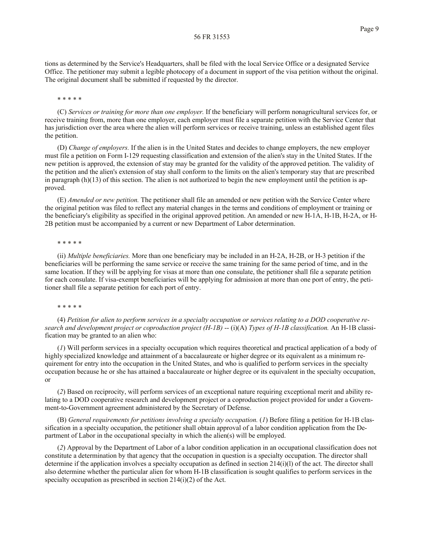tions as determined by the Service's Headquarters, shall be filed with the local Service Office or a designated Service Office. The petitioner may submit a legible photocopy of a document in support of the visa petition without the original. The original document shall be submitted if requested by the director.

#### \* \* \* \* \*

(C) *Services or training for more than one employer.* If the beneficiary will perform nonagricultural services for, or receive training from, more than one employer, each employer must file a separate petition with the Service Center that has jurisdiction over the area where the alien will perform services or receive training, unless an established agent files the petition.

(D) *Change of employers.* If the alien is in the United States and decides to change employers, the new employer must file a petition on Form I-129 requesting classification and extension of the alien's stay in the United States. If the new petition is approved, the extension of stay may be granted for the validity of the approved petition. The validity of the petition and the alien's extension of stay shall conform to the limits on the alien's temporary stay that are prescribed in paragraph  $(h)(13)$  of this section. The alien is not authorized to begin the new employment until the petition is approved.

(E) *Amended or new petition.* The petitioner shall file an amended or new petition with the Service Center where the original petition was filed to reflect any material changes in the terms and conditions of employment or training or the beneficiary's eligibility as specified in the original approved petition. An amended or new H-1A, H-1B, H-2A, or H-2B petition must be accompanied by a current or new Department of Labor determination.

# \* \* \* \* \*

(ii) *Multiple beneficiaries.* More than one beneficiary may be included in an H-2A, H-2B, or H-3 petition if the beneficiaries will be performing the same service or receive the same training for the same period of time, and in the same location. If they will be applying for visas at more than one consulate, the petitioner shall file a separate petition for each consulate. If visa-exempt beneficiaries will be applying for admission at more than one port of entry, the petitioner shall file a separate petition for each port of entry.

#### \* \* \* \* \*

(4) *Petition for alien to perform services in a specialty occupation or services relating to a DOD cooperative research and development project or coproduction project (H-1B)* -- (i)(A) *Types of H-1B classification.* An H-1B classification may be granted to an alien who:

(*1*) Will perform services in a specialty occupation which requires theoretical and practical application of a body of highly specialized knowledge and attainment of a baccalaureate or higher degree or its equivalent as a minimum requirement for entry into the occupation in the United States, and who is qualified to perform services in the specialty occupation because he or she has attained a baccalaureate or higher degree or its equivalent in the specialty occupation, or

(*2*) Based on reciprocity, will perform services of an exceptional nature requiring exceptional merit and ability relating to a DOD cooperative research and development project or a coproduction project provided for under a Government-to-Government agreement administered by the Secretary of Defense.

(B) *General requirements for petitions involving a specialty occupation.* (*1*) Before filing a petition for H-1B classification in a specialty occupation, the petitioner shall obtain approval of a labor condition application from the Department of Labor in the occupational specialty in which the alien(s) will be employed.

(*2*) Approval by the Department of Labor of a labor condition application in an occupational classification does not constitute a determination by that agency that the occupation in question is a specialty occupation. The director shall determine if the application involves a specialty occupation as defined in section 214(i)(l) of the act. The director shall also determine whether the particular alien for whom H-1B classification is sought qualifies to perform services in the specialty occupation as prescribed in section 214(i)(2) of the Act.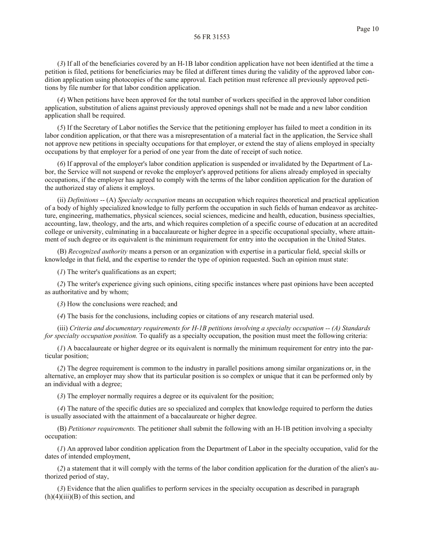(*3*) If all of the beneficiaries covered by an H-1B labor condition application have not been identified at the time a petition is filed, petitions for beneficiaries may be filed at different times during the validity of the approved labor condition application using photocopies of the same approval. Each petition must reference all previously approved petitions by file number for that labor condition application.

(*4*) When petitions have been approved for the total number of workers specified in the approved labor condition application, substitution of aliens against previously approved openings shall not be made and a new labor condition application shall be required.

(*5*) If the Secretary of Labor notifies the Service that the petitioning employer has failed to meet a condition in its labor condition application, or that there was a misrepresentation of a material fact in the application, the Service shall not approve new petitions in specialty occupations for that employer, or extend the stay of aliens employed in specialty occupations by that employer for a period of one year from the date of receipt of such notice.

(*6*) If approval of the employer's labor condition application is suspended or invalidated by the Department of Labor, the Service will not suspend or revoke the employer's approved petitions for aliens already employed in specialty occupations, if the employer has agreed to comply with the terms of the labor condition application for the duration of the authorized stay of aliens it employs.

(ii) *Definitions* -- (A) *Specialty occupation* means an occupation which requires theoretical and practical application of a body of highly specialized knowledge to fully perform the occupation in such fields of human endeavor as architecture, engineering, mathematics, physical sciences, social sciences, medicine and health, education, business specialties, accounting, law, theology, and the arts, and which requires completion of a specific course of education at an accredited college or university, culminating in a baccalaureate or higher degree in a specific occupational specialty, where attainment of such degree or its equivalent is the minimum requirement for entry into the occupation in the United States.

(B) *Recognized authority* means a person or an organization with expertise in a particular field, special skills or knowledge in that field, and the expertise to render the type of opinion requested. Such an opinion must state:

(*1*) The writer's qualifications as an expert;

(*2*) The writer's experience giving such opinions, citing specific instances where past opinions have been accepted as authoritative and by whom;

(*3*) How the conclusions were reached; and

(*4*) The basis for the conclusions, including copies or citations of any research material used.

(iii) *Criteria and documentary requirements for H-1B petitions involving a specialty occupation -- (A) Standards for specialty occupation position.* To qualify as a specialty occupation, the position must meet the following criteria:

(*1*) A baccalaureate or higher degree or its equivalent is normally the minimum requirement for entry into the particular position;

(*2*) The degree requirement is common to the industry in parallel positions among similar organizations or, in the alternative, an employer may show that its particular position is so complex or unique that it can be performed only by an individual with a degree;

(*3*) The employer normally requires a degree or its equivalent for the position;

(*4*) The nature of the specific duties are so specialized and complex that knowledge required to perform the duties is usually associated with the attainment of a baccalaureate or higher degree.

(B) *Petitioner requirements.* The petitioner shall submit the following with an H-1B petition involving a specialty occupation:

(*1*) An approved labor condition application from the Department of Labor in the specialty occupation, valid for the dates of intended employment,

(*2*) a statement that it will comply with the terms of the labor condition application for the duration of the alien's authorized period of stay,

(*3*) Evidence that the alien qualifies to perform services in the specialty occupation as described in paragraph  $(h)(4)(iii)(B)$  of this section, and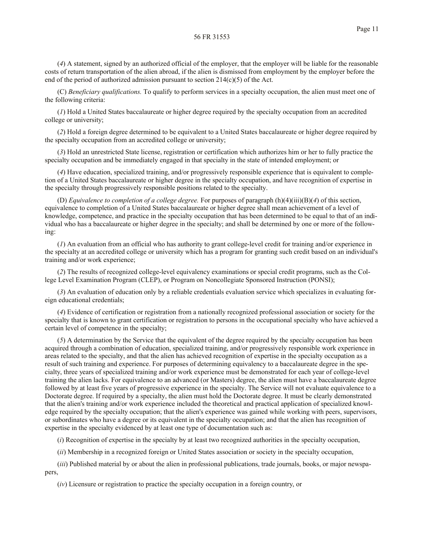(*4*) A statement, signed by an authorized official of the employer, that the employer will be liable for the reasonable costs of return transportation of the alien abroad, if the alien is dismissed from employment by the employer before the end of the period of authorized admission pursuant to section  $214(c)(5)$  of the Act.

(C) *Beneficiary qualifications.* To qualify to perform services in a specialty occupation, the alien must meet one of the following criteria:

(*1*) Hold a United States baccalaureate or higher degree required by the specialty occupation from an accredited college or university;

(*2*) Hold a foreign degree determined to be equivalent to a United States baccalaureate or higher degree required by the specialty occupation from an accredited college or university;

(*3*) Hold an unrestricted State license, registration or certification which authorizes him or her to fully practice the specialty occupation and be immediately engaged in that specialty in the state of intended employment; or

(*4*) Have education, specialized training, and/or progressively responsible experience that is equivalent to completion of a United States baccalaureate or higher degree in the specialty occupation, and have recognition of expertise in the specialty through progressively responsible positions related to the specialty.

(D) *Equivalence to completion of a college degree.* For purposes of paragraph (h)(4)(iii)(B)(*4*) of this section, equivalence to completion of a United States baccalaureate or higher degree shall mean achievement of a level of knowledge, competence, and practice in the specialty occupation that has been determined to be equal to that of an individual who has a baccalaureate or higher degree in the specialty; and shall be determined by one or more of the following:

(*1*) An evaluation from an official who has authority to grant college-level credit for training and/or experience in the specialty at an accredited college or university which has a program for granting such credit based on an individual's training and/or work experience;

(*2*) The results of recognized college-level equivalency examinations or special credit programs, such as the College Level Examination Program (CLEP), or Program on Noncollegiate Sponsored Instruction (PONSI);

(*3*) An evaluation of education only by a reliable credentials evaluation service which specializes in evaluating foreign educational credentials;

(*4*) Evidence of certification or registration from a nationally recognized professional association or society for the specialty that is known to grant certification or registration to persons in the occupational specialty who have achieved a certain level of competence in the specialty;

(*5*) A determination by the Service that the equivalent of the degree required by the specialty occupation has been acquired through a combination of education, specialized training, and/or progressively responsible work experience in areas related to the specialty, and that the alien has achieved recognition of expertise in the specialty occupation as a result of such training and experience. For purposes of determining equivalency to a baccalaureate degree in the specialty, three years of specialized training and/or work experience must be demonstrated for each year of college-level training the alien lacks. For equivalence to an advanced (or Masters) degree, the alien must have a baccalaureate degree followed by at least five years of progressive experience in the specialty. The Service will not evaluate equivalence to a Doctorate degree. If required by a specialty, the alien must hold the Doctorate degree. It must be clearly demonstrated that the alien's training and/or work experience included the theoretical and practical application of specialized knowledge required by the specialty occupation; that the alien's experience was gained while working with peers, supervisors, or subordinates who have a degree or its equivalent in the specialty occupation; and that the alien has recognition of expertise in the specialty evidenced by at least one type of documentation such as:

(*i*) Recognition of expertise in the specialty by at least two recognized authorities in the specialty occupation,

(*ii*) Membership in a recognized foreign or United States association or society in the specialty occupation,

(*iii*) Published material by or about the alien in professional publications, trade journals, books, or major newspapers,

(*iv*) Licensure or registration to practice the specialty occupation in a foreign country, or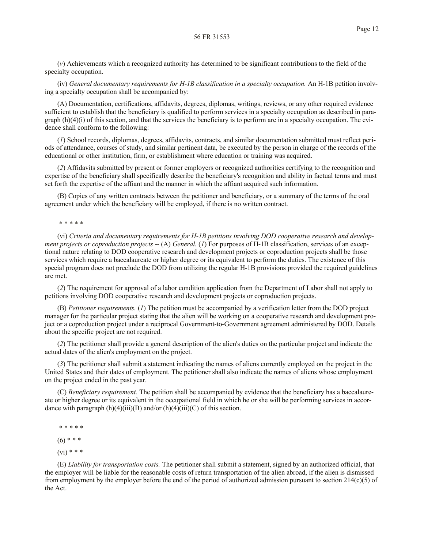(*v*) Achievements which a recognized authority has determined to be significant contributions to the field of the specialty occupation.

(iv) *General documentary requirements for H-1B classification in a specialty occupation.* An H-1B petition involving a specialty occupation shall be accompanied by:

(A) Documentation, certifications, affidavits, degrees, diplomas, writings, reviews, or any other required evidence sufficient to establish that the beneficiary is qualified to perform services in a specialty occupation as described in paragraph  $(h)(4)(i)$  of this section, and that the services the beneficiary is to perform are in a specialty occupation. The evidence shall conform to the following:

(*1*) School records, diplomas, degrees, affidavits, contracts, and similar documentation submitted must reflect periods of attendance, courses of study, and similar pertinent data, be executed by the person in charge of the records of the educational or other institution, firm, or establishment where education or training was acquired.

(*2*) Affidavits submitted by present or former employers or recognized authorities certifying to the recognition and expertise of the beneficiary shall specifically describe the beneficiary's recognition and ability in factual terms and must set forth the expertise of the affiant and the manner in which the affiant acquired such information.

(B) Copies of any written contracts between the petitioner and beneficiary, or a summary of the terms of the oral agreement under which the beneficiary will be employed, if there is no written contract.

#### \* \* \* \* \*

(vi) *Criteria and documentary requirements for H-1B petitions involving DOD cooperative research and development projects or coproduction projects* -- (A) *General.* (1) For purposes of H-1B classification, services of an exceptional nature relating to DOD cooperative research and development projects or coproduction projects shall be those services which require a baccalaureate or higher degree or its equivalent to perform the duties. The existence of this special program does not preclude the DOD from utilizing the regular H-1B provisions provided the required guidelines are met.

(*2*) The requirement for approval of a labor condition application from the Department of Labor shall not apply to petitions involving DOD cooperative research and development projects or coproduction projects.

(B) *Petitioner requirements.* (*1*) The petition must be accompanied by a verification letter from the DOD project manager for the particular project stating that the alien will be working on a cooperative research and development project or a coproduction project under a reciprocal Government-to-Government agreement administered by DOD. Details about the specific project are not required.

(*2*) The petitioner shall provide a general description of the alien's duties on the particular project and indicate the actual dates of the alien's employment on the project.

(*3*) The petitioner shall submit a statement indicating the names of aliens currently employed on the project in the United States and their dates of employment. The petitioner shall also indicate the names of aliens whose employment on the project ended in the past year.

(C) *Beneficiary requirement.* The petition shall be accompanied by evidence that the beneficiary has a baccalaureate or higher degree or its equivalent in the occupational field in which he or she will be performing services in accordance with paragraph  $(h)(4)(iii)(B)$  and/or  $(h)(4)(iii)(C)$  of this section.

\* \* \* \* \*

 $(6)$  \* \* \*

 $(vi) * * *$ 

(E) *Liability for transportation costs.* The petitioner shall submit a statement, signed by an authorized official, that the employer will be liable for the reasonable costs of return transportation of the alien abroad, if the alien is dismissed from employment by the employer before the end of the period of authorized admission pursuant to section 214(c)(5) of the Act.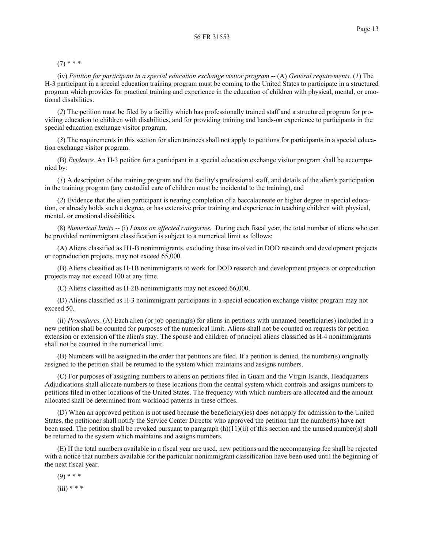$(7)$  \* \* \*

(iv) *Petition for participant in a special education exchange visitor program* -- (A) *General requirements.* (*1*) The H-3 participant in a special education training program must be coming to the United States to participate in a structured program which provides for practical training and experience in the education of children with physical, mental, or emotional disabilities.

(*2*) The petition must be filed by a facility which has professionally trained staff and a structured program for providing education to children with disabilities, and for providing training and hands-on experience to participants in the special education exchange visitor program.

(*3*) The requirements in this section for alien trainees shall not apply to petitions for participants in a special education exchange visitor program.

(B) *Evidence.* An H-3 petition for a participant in a special education exchange visitor program shall be accompanied by:

(*1*) A description of the training program and the facility's professional staff, and details of the alien's participation in the training program (any custodial care of children must be incidental to the training), and

(*2*) Evidence that the alien participant is nearing completion of a baccalaureate or higher degree in special education, or already holds such a degree, or has extensive prior training and experience in teaching children with physical, mental, or emotional disabilities.

(8) *Numerical limits --* (i) *Limits on affected categories.* During each fiscal year, the total number of aliens who can be provided nonimmigrant classification is subject to a numerical limit as follows:

(A) Aliens classified as H1-B nonimmigrants, excluding those involved in DOD research and development projects or coproduction projects, may not exceed 65,000.

(B) Aliens classified as H-1B nonimmigrants to work for DOD research and development projects or coproduction projects may not exceed 100 at any time.

(C) Aliens classified as H-2B nonimmigrants may not exceed 66,000.

(D) Aliens classified as H-3 nonimmigrant participants in a special education exchange visitor program may not exceed 50.

(ii) *Procedures.* (A) Each alien (or job opening(s) for aliens in petitions with unnamed beneficiaries) included in a new petition shall be counted for purposes of the numerical limit. Aliens shall not be counted on requests for petition extension or extension of the alien's stay. The spouse and children of principal aliens classified as H-4 nonimmigrants shall not be counted in the numerical limit.

(B) Numbers will be assigned in the order that petitions are filed. If a petition is denied, the number(s) originally assigned to the petition shall be returned to the system which maintains and assigns numbers.

(C) For purposes of assigning numbers to aliens on petitions filed in Guam and the Virgin Islands, Headquarters Adjudications shall allocate numbers to these locations from the central system which controls and assigns numbers to petitions filed in other locations of the United States. The frequency with which numbers are allocated and the amount allocated shall be determined from workload patterns in these offices.

(D) When an approved petition is not used because the beneficiary(ies) does not apply for admission to the United States, the petitioner shall notify the Service Center Director who approved the petition that the number(s) have not been used. The petition shall be revoked pursuant to paragraph (h)(11)(ii) of this section and the unused number(s) shall be returned to the system which maintains and assigns numbers.

(E) If the total numbers available in a fiscal year are used, new petitions and the accompanying fee shall be rejected with a notice that numbers available for the particular nonimmigrant classification have been used until the beginning of the next fiscal year.

 $(9)$  \* \* \*  $(iii)$  \* \* \*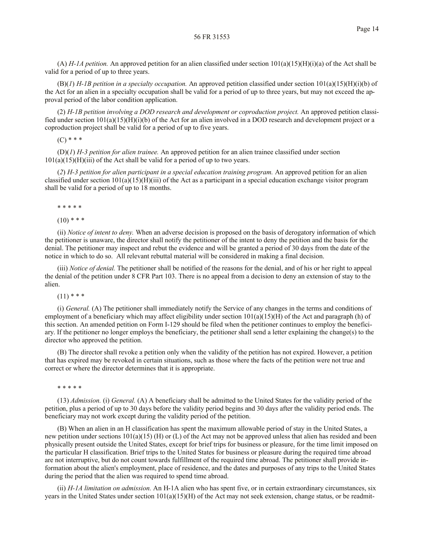(A) *H-1A petition.* An approved petition for an alien classified under section 101(a)(15)(H)(i)(a) of the Act shall be valid for a period of up to three years.

(B)(*1*) *H-1B petition in a specialty occupation.* An approved petition classified under section 101(a)(15)(H)(i)(b) of the Act for an alien in a specialty occupation shall be valid for a period of up to three years, but may not exceed the approval period of the labor condition application.

(2) *H-1B petition involving a DOD research and development or coproduction project.* An approved petition classified under section 101(a)(15)(H)(i)(b) of the Act for an alien involved in a DOD research and development project or a coproduction project shall be valid for a period of up to five years.

 $(C)$  \* \* \*

(D)(*1*) *H-3 petition for alien trainee.* An approved petition for an alien trainee classified under section  $101(a)(15)(H)(iii)$  of the Act shall be valid for a period of up to two years.

(*2*) *H-3 petition for alien participant in a special education training program.* An approved petition for an alien classified under section  $101(a)(15)(H)(iii)$  of the Act as a participant in a special education exchange visitor program shall be valid for a period of up to 18 months.

\* \* \* \* \*

 $(10)$  \* \* \*

(ii) *Notice of intent to deny.* When an adverse decision is proposed on the basis of derogatory information of which the petitioner is unaware, the director shall notify the petitioner of the intent to deny the petition and the basis for the denial. The petitioner may inspect and rebut the evidence and will be granted a period of 30 days from the date of the notice in which to do so. All relevant rebuttal material will be considered in making a final decision.

(iii) *Notice of denial.* The petitioner shall be notified of the reasons for the denial, and of his or her right to appeal the denial of the petition under 8 CFR Part 103. There is no appeal from a decision to deny an extension of stay to the alien.

 $(11)$  \* \* \*

(i) *General.* (A) The petitioner shall immediately notify the Service of any changes in the terms and conditions of employment of a beneficiary which may affect eligibility under section  $101(a)(15)(H)$  of the Act and paragraph (h) of this section. An amended petition on Form I-129 should be filed when the petitioner continues to employ the beneficiary. If the petitioner no longer employs the beneficiary, the petitioner shall send a letter explaining the change(s) to the director who approved the petition.

(B) The director shall revoke a petition only when the validity of the petition has not expired. However, a petition that has expired may be revoked in certain situations, such as those where the facts of the petition were not true and correct or where the director determines that it is appropriate.

\* \* \* \* \*

(13) *Admission.* (i) *General.* (A) A beneficiary shall be admitted to the United States for the validity period of the petition, plus a period of up to 30 days before the validity period begins and 30 days after the validity period ends. The beneficiary may not work except during the validity period of the petition.

(B) When an alien in an H classification has spent the maximum allowable period of stay in the United States, a new petition under sections  $101(a)(15)$  (H) or (L) of the Act may not be approved unless that alien has resided and been physically present outside the United States, except for brief trips for business or pleasure, for the time limit imposed on the particular H classification. Brief trips to the United States for business or pleasure during the required time abroad are not interruptive, but do not count towards fulfillment of the required time abroad. The petitioner shall provide information about the alien's employment, place of residence, and the dates and purposes of any trips to the United States during the period that the alien was required to spend time abroad.

(ii) *H-1A limitation on admission.* An H-1A alien who has spent five, or in certain extraordinary circumstances, six years in the United States under section  $101(a)(15)(H)$  of the Act may not seek extension, change status, or be readmit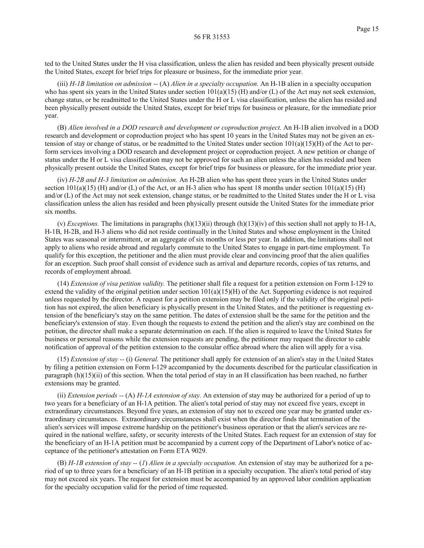ted to the United States under the H visa classification, unless the alien has resided and been physically present outside the United States, except for brief trips for pleasure or business, for the immediate prior year.

(iii) *H-1B limitation on admission --* (A) *Alien in a specialty occupation.* An H-1B alien in a specialty occupation who has spent six years in the United States under section  $101(a)(15)$  (H) and/or (L) of the Act may not seek extension, change status, or be readmitted to the United States under the H or L visa classification, unless the alien has resided and been physically present outside the United States, except for brief trips for business or pleasure, for the immediate prior year.

(B) *Alien involved in a DOD research and development or coproduction project.* An H-1B alien involved in a DOD research and development or coproduction project who has spent 10 years in the United States may not be given an extension of stay or change of status, or be readmitted to the United States under section  $101(a)(15)(H)$  of the Act to perform services involving a DOD research and development project or coproduction project. A new petition or change of status under the H or L visa classification may not be approved for such an alien unless the alien has resided and been physically present outside the United States, except for brief trips for business or pleasure, for the immediate prior year.

(iv) *H-2B and H-3 limitation on admission.* An H-2B alien who has spent three years in the United States under section  $101(a)(15)$  (H) and/or (L) of the Act, or an H-3 alien who has spent 18 months under section  $101(a)(15)$  (H) and/or (L) of the Act may not seek extension, change status, or be readmitted to the United States under the H or L visa classification unless the alien has resided and been physically present outside the United States for the immediate prior six months.

(v) *Exceptions*. The limitations in paragraphs  $(h)(13)(ii)$  through  $(h)(13)(iv)$  of this section shall not apply to H-1A, H-1B, H-2B, and H-3 aliens who did not reside continually in the United States and whose employment in the United States was seasonal or intermittent, or an aggregate of six months or less per year. In addition, the limitations shall not apply to aliens who reside abroad and regularly commute to the United States to engage in part-time employment. To qualify for this exception, the petitioner and the alien must provide clear and convincing proof that the alien qualifies for an exception. Such proof shall consist of evidence such as arrival and departure records, copies of tax returns, and records of employment abroad.

(14) *Extension of visa petition validity.* The petitioner shall file a request for a petition extension on Form I-129 to extend the validity of the original petition under section  $101(a)(15)(H)$  of the Act. Supporting evidence is not required unless requested by the director. A request for a petition extension may be filed only if the validity of the original petition has not expired, the alien beneficiary is physically present in the United States, and the petitioner is requesting extension of the beneficiary's stay on the same petition. The dates of extension shall be the same for the petition and the beneficiary's extension of stay. Even though the requests to extend the petition and the alien's stay are combined on the petition, the director shall make a separate determination on each. If the alien is required to leave the United States for business or personal reasons while the extension requests are pending, the petitioner may request the director to cable notification of approval of the petition extension to the consular office abroad where the alien will apply for a visa.

(15) *Extension of stay --* (i) *General.* The petitioner shall apply for extension of an alien's stay in the United States by filing a petition extension on Form I-129 accompanied by the documents described for the particular classification in paragraph (h)(15)(ii) of this section. When the total period of stay in an H classification has been reached, no further extensions may be granted.

(ii) *Extension periods --* (A) *H-1A extension of stay.* An extension of stay may be authorized for a period of up to two years for a beneficiary of an H-1A petition. The alien's total period of stay may not exceed five years, except in extraordinary circumstances. Beyond five years, an extension of stay not to exceed one year may be granted under extraordinary circumstances. Extraordinary circumstances shall exist when the director finds that termination of the alien's services will impose extreme hardship on the petitioner's business operation or that the alien's services are required in the national welfare, safety, or security interests of the United States. Each request for an extension of stay for the beneficiary of an H-1A petition must be accompanied by a current copy of the Department of Labor's notice of acceptance of the petitioner's attestation on Form ETA 9029.

(B) *H-1B extension of stay --* (*1*) *Alien in a specialty occupation.* An extension of stay may be authorized for a period of up to three years for a beneficiary of an H-1B petition in a specialty occupation. The alien's total period of stay may not exceed six years. The request for extension must be accompanied by an approved labor condition application for the specialty occupation valid for the period of time requested.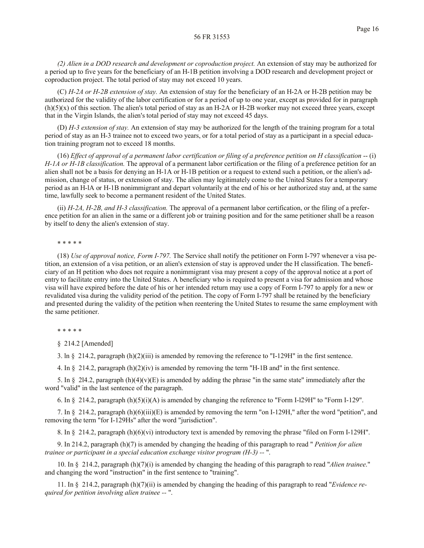*(2) Alien in a DOD research and development or coproduction project.* An extension of stay may be authorized for a period up to five years for the beneficiary of an H-1B petition involving a DOD research and development project or coproduction project. The total period of stay may not exceed 10 years.

(C) *H-2A or H-2B extension of stay.* An extension of stay for the beneficiary of an H-2A or H-2B petition may be authorized for the validity of the labor certification or for a period of up to one year, except as provided for in paragraph (h)(5)(x) of this section. The alien's total period of stay as an H-2A or H-2B worker may not exceed three years, except that in the Virgin Islands, the alien's total period of stay may not exceed 45 days.

(D) *H-3 extension of stay.* An extension of stay may be authorized for the length of the training program for a total period of stay as an H-3 trainee not to exceed two years, or for a total period of stay as a participant in a special education training program not to exceed 18 months.

(16) *Effect of approval of a permanent labor certification or filing of a preference petition on H classification* -- (i) *H-1A or H-1B classification.* The approval of a permanent labor certification or the filing of a preference petition for an alien shall not be a basis for denying an H-1A or H-1B petition or a request to extend such a petition, or the alien's admission, change of status, or extension of stay. The alien may legitimately come to the United States for a temporary period as an H-lA or H-1B nonimmigrant and depart voluntarily at the end of his or her authorized stay and, at the same time, lawfully seek to become a permanent resident of the United States.

(ii) *H-2A, H-2B, and H-3 classification.* The approval of a permanent labor certification, or the filing of a preference petition for an alien in the same or a different job or training position and for the same petitioner shall be a reason by itself to deny the alien's extension of stay.

## \* \* \* \* \*

(18) *Use of approval notice, Form I-797.* The Service shall notify the petitioner on Form I-797 whenever a visa petition, an extension of a visa petition, or an alien's extension of stay is approved under the H classification. The beneficiary of an H petition who does not require a nonimmigrant visa may present a copy of the approval notice at a port of entry to facilitate entry into the United States. A beneficiary who is required to present a visa for admission and whose visa will have expired before the date of his or her intended return may use a copy of Form I-797 to apply for a new or revalidated visa during the validity period of the petition. The copy of Form I-797 shall be retained by the beneficiary and presented during the validity of the petition when reentering the United States to resume the same employment with the same petitioner.

## \* \* \* \* \*

§ 214.2 [Amended]

3. ln  $\S$  214.2, paragraph (h)(2)(iii) is amended by removing the reference to "I-129H" in the first sentence.

4. In § 214.2, paragraph (h)(2)(iv) is amended by removing the term "H-1B and" in the first sentence.

5. In § 2l4.2, paragraph  $(h)(4)(v)(E)$  is amended by adding the phrase "in the same state" immediately after the word "valid" in the last sentence of the paragraph.

6. In § 214.2, paragraph  $(h)(5)(i)(A)$  is amended by changing the reference to "Form I-l29H" to "Form I-129".

7. In § 214.2, paragraph (h)(6)(iii)(E) is amended by removing the term "on I-129H," after the word "petition", and removing the term "for I-129Hs" after the word "jurisdiction".

8. In § 214.2, paragraph (h)(6)(vi) introductory text is amended by removing the phrase "filed on Form I-129H".

9. In 214.2, paragraph (h)(7) is amended by changing the heading of this paragraph to read " *Petition for alien trainee or participant in a special education exchange visitor program (H-3) --* ".

10. In § 214.2, paragraph (h)(7)(i) is amended by changing the heading of this paragraph to read "*Alien trainee*." and changing the word "instruction" in the first sentence to "training".

11. In § 214.2, paragraph (h)(7)(ii) is amended by changing the heading of this paragraph to read "*Evidence required for petition involving alien trainee --* ".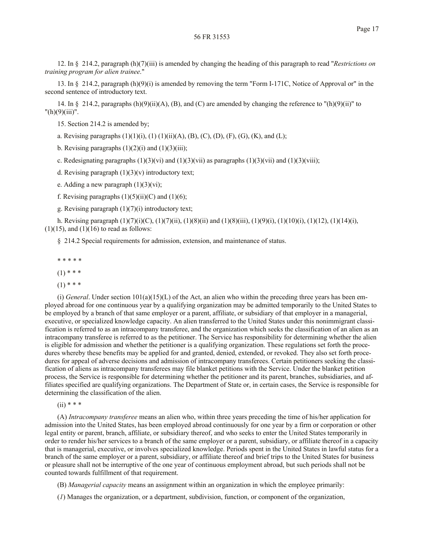12. In § 214.2, paragraph (h)(7)(iii) is amended by changing the heading of this paragraph to read "*Restrictions on training program for alien trainee*."

13. In § 214.2, paragraph (h)(9)(i) is amended by removing the term "Form I-171C, Notice of Approval or" in the second sentence of introductory text.

14. In  $\S$  214.2, paragraphs (h)(9)(ii)(A), (B), and (C) are amended by changing the reference to "(h)(9)(ii)" to "(h)(9)(iii)".

15. Section 214.2 is amended by;

a. Revising paragraphs  $(1)(1)(i)$ ,  $(1)(1)(ii)(A)$ ,  $(B)$ ,  $(C)$ ,  $(D)$ ,  $(F)$ ,  $(G)$ ,  $(K)$ , and  $(L)$ ;

b. Revising paragraphs  $(1)(2)(i)$  and  $(1)(3)(iii)$ ;

c. Redesignating paragraphs  $(1)(3)(vi)$  and  $(1)(3)(vii)$  as paragraphs  $(1)(3)(viii)$  and  $(1)(3)(viii)$ ;

d. Revising paragraph  $(1)(3)(v)$  introductory text;

e. Adding a new paragraph  $(1)(3)(vi)$ ;

f. Revising paragraphs  $(1)(5)(ii)(C)$  and  $(1)(6)$ ;

g. Revising paragraph  $(1)(7)(i)$  introductory text;

h. Revising paragraph  $(1)(7)(i)(C)$ ,  $(1)(7)(ii)$ ,  $(1)(8)(ii)$  and  $(1)(8)(iii)$ ,  $(1)(9)(i)$ ,  $(1)(10)(i)$ ,  $(1)(12)$ ,  $(1)(14)(i)$ ,  $(1)(15)$ , and  $(1)(16)$  to read as follows:

§ 214.2 Special requirements for admission, extension, and maintenance of status.

\* \* \* \* \*

 $(1)$  \* \* \*

 $(1)$  \* \* \*

(i) *General*. Under section  $101(a)(15)(L)$  of the Act, an alien who within the preceding three years has been employed abroad for one continuous year by a qualifying organization may be admitted temporarily to the United States to be employed by a branch of that same employer or a parent, affiliate, or subsidiary of that employer in a managerial, executive, or specialized knowledge capacity. An alien transferred to the United States under this nonimmigrant classification is referred to as an intracompany transferee, and the organization which seeks the classification of an alien as an intracompany transferee is referred to as the petitioner. The Service has responsibility for determining whether the alien is eligible for admission and whether the petitioner is a qualifying organization. These regulations set forth the procedures whereby these benefits may be applied for and granted, denied, extended, or revoked. They also set forth procedures for appeal of adverse decisions and admission of intracompany transferees. Certain petitioners seeking the classification of aliens as intracompany transferees may file blanket petitions with the Service. Under the blanket petition process, the Service is responsible for determining whether the petitioner and its parent, branches, subsidiaries, and affiliates specified are qualifying organizations. The Department of State or, in certain cases, the Service is responsible for determining the classification of the alien.

 $(ii)$  \* \* \*

(A) *Intracompany transferee* means an alien who, within three years preceding the time of his/her application for admission into the United States, has been employed abroad continuously for one year by a firm or corporation or other legal entity or parent, branch, affiliate, or subsidiary thereof, and who seeks to enter the United States temporarily in order to render his/her services to a branch of the same employer or a parent, subsidiary, or affiliate thereof in a capacity that is managerial, executive, or involves specialized knowledge. Periods spent in the United States in lawful status for a branch of the same employer or a parent, subsidiary, or affiliate thereof and brief trips to the United States for business or pleasure shall not be interruptive of the one year of continuous employment abroad, but such periods shall not be counted towards fulfillment of that requirement.

(B) *Managerial capacity* means an assignment within an organization in which the employee primarily:

(*1*) Manages the organization, or a department, subdivision, function, or component of the organization,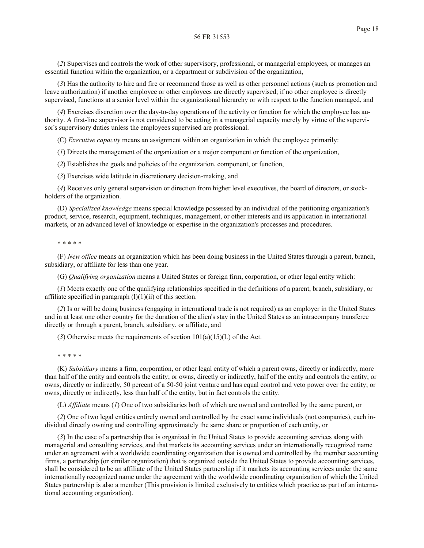(*2*) Supervises and controls the work of other supervisory, professional, or managerial employees, or manages an essential function within the organization, or a department or subdivision of the organization,

(*3*) Has the authority to hire and fire or recommend those as well as other personnel actions (such as promotion and leave authorization) if another employee or other employees are directly supervised; if no other employee is directly supervised, functions at a senior level within the organizational hierarchy or with respect to the function managed, and

(*4*) Exercises discretion over the day-to-day operations of the activity or function for which the employee has authority. A first-line supervisor is not considered to be acting in a managerial capacity merely by virtue of the supervisor's supervisory duties unless the employees supervised are professional.

(C) *Executive capacity* means an assignment within an organization in which the employee primarily:

(*1*) Directs the management of the organization or a major component or function of the organization,

(*2*) Establishes the goals and policies of the organization, component, or function,

(*3*) Exercises wide latitude in discretionary decision-making, and

(*4*) Receives only general supervision or direction from higher level executives, the board of directors, or stockholders of the organization.

(D) *Specialized knowledge* means special knowledge possessed by an individual of the petitioning organization's product, service, research, equipment, techniques, management, or other interests and its application in international markets, or an advanced level of knowledge or expertise in the organization's processes and procedures.

## \* \* \* \* \*

(F) *New office* means an organization which has been doing business in the United States through a parent, branch, subsidiary, or affiliate for less than one year.

(G) *Qualifying organization* means a United States or foreign firm, corporation, or other legal entity which:

(*1*) Meets exactly one of the qualifying relationships specified in the definitions of a parent, branch, subsidiary, or affiliate specified in paragraph  $(l)(1)(ii)$  of this section.

(*2*) Is or will be doing business (engaging in international trade is not required) as an employer in the United States and in at least one other country for the duration of the alien's stay in the United States as an intracompany transferee directly or through a parent, branch, subsidiary, or affiliate, and

(3) Otherwise meets the requirements of section  $101(a)(15)(L)$  of the Act.

\* \* \* \* \*

(K) *Subsidiary* means a firm, corporation, or other legal entity of which a parent owns, directly or indirectly, more than half of the entity and controls the entity; or owns, directly or indirectly, half of the entity and controls the entity; or owns, directly or indirectly, 50 percent of a 50-50 joint venture and has equal control and veto power over the entity; or owns, directly or indirectly, less than half of the entity, but in fact controls the entity.

(L) *Affiliate* means (*1*) One of two subsidiaries both of which are owned and controlled by the same parent, or

(*2*) One of two legal entities entirely owned and controlled by the exact same individuals (not companies), each individual directly owning and controlling approximately the same share or proportion of each entity, or

(*3*) In the case of a partnership that is organized in the United States to provide accounting services along with managerial and consulting services, and that markets its accounting services under an internationally recognized name under an agreement with a worldwide coordinating organization that is owned and controlled by the member accounting firms, a partnership (or similar organization) that is organized outside the United States to provide accounting services, shall be considered to be an affiliate of the United States partnership if it markets its accounting services under the same internationally recognized name under the agreement with the worldwide coordinating organization of which the United States partnership is also a member (This provision is limited exclusively to entities which practice as part of an international accounting organization).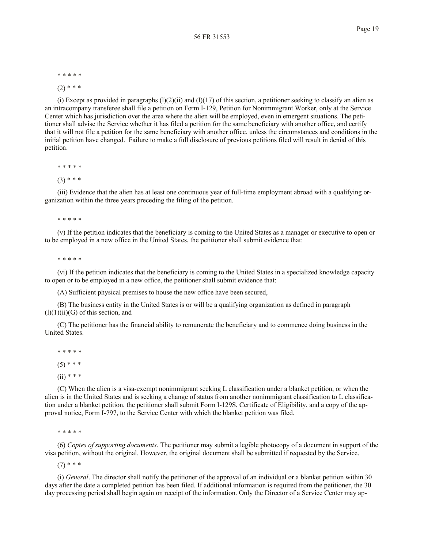\* \* \* \* \*

 $(2)$  \* \* \*

(i) Except as provided in paragraphs  $(1)(2)(ii)$  and  $(1)(17)$  of this section, a petitioner seeking to classify an alien as an intracompany transferee shall file a petition on Form I-129, Petition for Nonimmigrant Worker, only at the Service Center which has jurisdiction over the area where the alien will be employed, even in emergent situations. The petitioner shall advise the Service whether it has filed a petition for the same beneficiary with another office, and certify that it will not file a petition for the same beneficiary with another office, unless the circumstances and conditions in the initial petition have changed. Failure to make a full disclosure of previous petitions filed will result in denial of this petition.

\* \* \* \* \*

 $(3)$  \* \* \*

(iii) Evidence that the alien has at least one continuous year of full-time employment abroad with a qualifying organization within the three years preceding the filing of the petition.

\* \* \* \* \*

(v) If the petition indicates that the beneficiary is coming to the United States as a manager or executive to open or to be employed in a new office in the United States, the petitioner shall submit evidence that:

\* \* \* \* \*

(vi) If the petition indicates that the beneficiary is coming to the United States in a specialized knowledge capacity to open or to be employed in a new office, the petitioner shall submit evidence that:

(A) Sufficient physical premises to house the new office have been secured,

(B) The business entity in the United States is or will be a qualifying organization as defined in paragraph  $(l)(1)(ii)(G)$  of this section, and

(C) The petitioner has the financial ability to remunerate the beneficiary and to commence doing business in the United States.

\* \* \* \* \*

 $(5)$  \* \* \*

 $(ii)$  \* \* \*

(C) When the alien is a visa-exempt nonimmigrant seeking L classification under a blanket petition, or when the alien is in the United States and is seeking a change of status from another nonimmigrant classification to L classification under a blanket petition, the petitioner shall submit Form I-129S, Certificate of Eligibility, and a copy of the approval notice, Form I-797, to the Service Center with which the blanket petition was filed.

\* \* \* \* \*

(6) *Copies of supporting documents*. The petitioner may submit a legible photocopy of a document in support of the visa petition, without the original. However, the original document shall be submitted if requested by the Service.

 $(7)$  \* \* \*

(i) *General*. The director shall notify the petitioner of the approval of an individual or a blanket petition within 30 days after the date a completed petition has been filed. If additional information is required from the petitioner, the 30 day processing period shall begin again on receipt of the information. Only the Director of a Service Center may ap-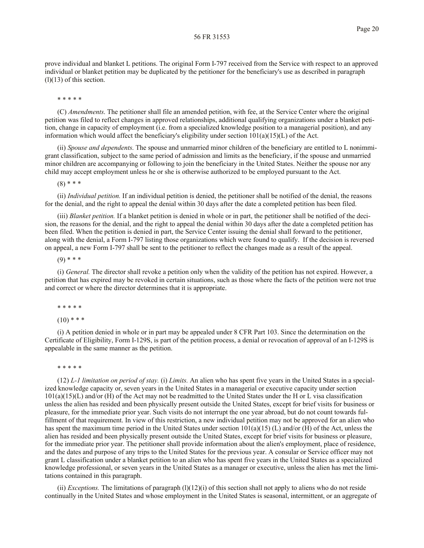prove individual and blanket L petitions. The original Form I-797 received from the Service with respect to an approved individual or blanket petition may be duplicated by the petitioner for the beneficiary's use as described in paragraph  $(l)(13)$  of this section.

\* \* \* \* \*

(C) *Amendments*. The petitioner shall file an amended petition, with fee, at the Service Center where the original petition was filed to reflect changes in approved relationships, additional qualifying organizations under a blanket petition, change in capacity of employment (i.e. from a specialized knowledge position to a managerial position), and any information which would affect the beneficiary's eligibility under section  $101(a)(15)(L)$  of the Act.

(ii) *Spouse and dependents*. The spouse and unmarried minor children of the beneficiary are entitled to L nonimmigrant classification, subject to the same period of admission and limits as the beneficiary, if the spouse and unmarried minor children are accompanying or following to join the beneficiary in the United States. Neither the spouse nor any child may accept employment unless he or she is otherwise authorized to be employed pursuant to the Act.

 $(8)$  \* \* \*

(ii) *Individual petition.* If an individual petition is denied, the petitioner shall be notified of the denial, the reasons for the denial, and the right to appeal the denial within 30 days after the date a completed petition has been filed.

(iii) *Blanket petition.* If a blanket petition is denied in whole or in part, the petitioner shall be notified of the decision, the reasons for the denial, and the right to appeal the denial within 30 days after the date a completed petition has been filed. When the petition is denied in part, the Service Center issuing the denial shall forward to the petitioner, along with the denial, a Form I-797 listing those organizations which were found to qualify. If the decision is reversed on appeal, a new Form I-797 shall be sent to the petitioner to reflect the changes made as a result of the appeal.

 $(9)$  \* \* \*

(i) *General.* The director shall revoke a petition only when the validity of the petition has not expired. However, a petition that has expired may be revoked in certain situations, such as those where the facts of the petition were not true and correct or where the director determines that it is appropriate.

\* \* \* \* \*

 $(10)$  \* \* \*

(i) A petition denied in whole or in part may be appealed under 8 CFR Part 103. Since the determination on the Certificate of Eligibility, Form I-129S, is part of the petition process, a denial or revocation of approval of an I-129S is appealable in the same manner as the petition.

\* \* \* \* \*

(12) *L-1 limitation on period of stay.* (i) *Limits.* An alien who has spent five years in the United States in a specialized knowledge capacity or, seven years in the United States in a managerial or executive capacity under section 101(a)(15)(L) and/or (H) of the Act may not be readmitted to the United States under the H or L visa classification unless the alien has resided and been physically present outside the United States, except for brief visits for business or pleasure, for the immediate prior year. Such visits do not interrupt the one year abroad, but do not count towards fulfillment of that requirement. In view of this restriction, a new individual petition may not be approved for an alien who has spent the maximum time period in the United States under section  $101(a)(15)$  (L) and/or (H) of the Act, unless the alien has resided and been physically present outside the United States, except for brief visits for business or pleasure, for the immediate prior year. The petitioner shall provide information about the alien's employment, place of residence, and the dates and purpose of any trips to the United States for the previous year. A consular or Service officer may not grant L classification under a blanket petition to an alien who has spent five years in the United States as a specialized knowledge professional, or seven years in the United States as a manager or executive, unless the alien has met the limitations contained in this paragraph.

(ii) *Exceptions*. The limitations of paragraph  $(1)(12)(i)$  of this section shall not apply to aliens who do not reside continually in the United States and whose employment in the United States is seasonal, intermittent, or an aggregate of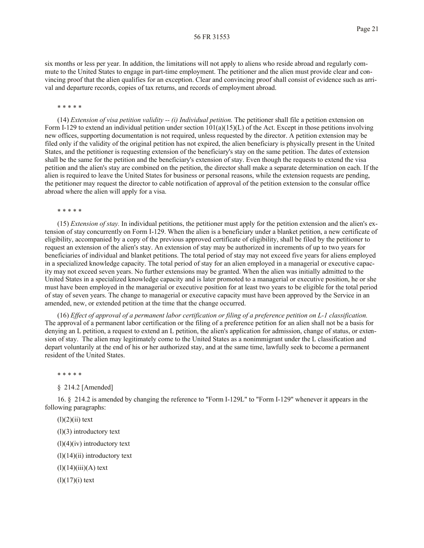six months or less per year. In addition, the limitations will not apply to aliens who reside abroad and regularly commute to the United States to engage in part-time employment. The petitioner and the alien must provide clear and convincing proof that the alien qualifies for an exception. Clear and convincing proof shall consist of evidence such as arrival and departure records, copies of tax returns, and records of employment abroad.

\* \* \* \* \*

(14) *Extension of visa petition validity -- (i) Individual petition.* The petitioner shall file a petition extension on Form I-129 to extend an individual petition under section  $101(a)(15)(L)$  of the Act. Except in those petitions involving new offices, supporting documentation is not required, unless requested by the director. A petition extension may be filed only if the validity of the original petition has not expired, the alien beneficiary is physically present in the United States, and the petitioner is requesting extension of the beneficiary's stay on the same petition. The dates of extension shall be the same for the petition and the beneficiary's extension of stay. Even though the requests to extend the visa petition and the alien's stay are combined on the petition, the director shall make a separate determination on each. If the alien is required to leave the United States for business or personal reasons, while the extension requests are pending, the petitioner may request the director to cable notification of approval of the petition extension to the consular office abroad where the alien will apply for a visa.

\* \* \* \* \*

(15) *Extension of stay.* In individual petitions, the petitioner must apply for the petition extension and the alien's extension of stay concurrently on Form I-129. When the alien is a beneficiary under a blanket petition, a new certificate of eligibility, accompanied by a copy of the previous approved certificate of eligibility, shall be filed by the petitioner to request an extension of the alien's stay. An extension of stay may be authorized in increments of up to two years for beneficiaries of individual and blanket petitions. The total period of stay may not exceed five years for aliens employed in a specialized knowledge capacity. The total period of stay for an alien employed in a managerial or executive capacity may not exceed seven years. No further extensions may be granted. When the alien was initially admitted to the United States in a specialized knowledge capacity and is later promoted to a managerial or executive position, he or she must have been employed in the managerial or executive position for at least two years to be eligible for the total period of stay of seven years. The change to managerial or executive capacity must have been approved by the Service in an amended, new, or extended petition at the time that the change occurred.

(16) *Effect of approval of a permanent labor certification or filing of a preference petition on L-1 classification.* The approval of a permanent labor certification or the filing of a preference petition for an alien shall not be a basis for denying an L petition, a request to extend an L petition, the alien's application for admission, change of status, or extension of stay. The alien may legitimately come to the United States as a nonimmigrant under the L classification and depart voluntarily at the end of his or her authorized stay, and at the same time, lawfully seek to become a permanent resident of the United States.

\* \* \* \* \*

§ 214.2 [Amended]

16. § 214.2 is amended by changing the reference to "Form I-129L" to "Form I-129" whenever it appears in the following paragraphs:

 $(l)(2)(ii)$  text

(l)(3) introductory text

 $(l)(4)(iv)$  introductory text

 $(l)(14)(ii)$  introductory text

 $(l)(14)(iii)(A)$  text

 $(l)(17)(i)$  text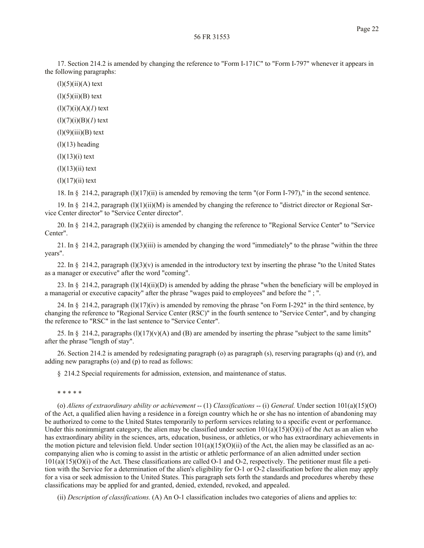17. Section 214.2 is amended by changing the reference to "Form I-171C" to "Form I-797" whenever it appears in the following paragraphs:

 $(l)(5)(ii)(A)$  text

 $(l)(5)(ii)(B)$  text

(l)(7)(i)(A)(*1*) text

(l)(7)(i)(B)(*1*) text

 $(l)(9)(iii)(B)$  text

 $(l)(13)$  heading

 $(l)(13)(i)$  text

 $(l)(13)(ii)$  text

 $(l)(17)(ii)$  text

18. In § 214.2, paragraph (l)(17)(ii) is amended by removing the term "(or Form I-797)," in the second sentence.

19. In § 214.2, paragraph (l)(1)(ii)(M) is amended by changing the reference to "district director or Regional Service Center director" to "Service Center director".

20. In § 214.2, paragraph (l)(2)(ii) is amended by changing the reference to "Regional Service Center" to "Service Center".

21. In § 214.2, paragraph  $(1)(3)(iii)$  is amended by changing the word "immediately" to the phrase "within the three years".

22. In § 214.2, paragraph  $(l)(3)(v)$  is amended in the introductory text by inserting the phrase "to the United States" as a manager or executive" after the word "coming".

23. In § 214.2, paragraph  $(l)(14)(ii)(D)$  is amended by adding the phrase "when the beneficiary will be employed in a managerial or executive capacity" after the phrase "wages paid to employees" and before the " ; ".

24. In § 214.2, paragraph  $(1)(17)(iv)$  is amended by removing the phrase "on Form I-292" in the third sentence, by changing the reference to "Regional Service Center (RSC)" in the fourth sentence to "Service Center", and by changing the reference to "RSC" in the last sentence to "Service Center".

25. In § 214.2, paragraphs  $(1)(17)(v)(A)$  and  $(B)$  are amended by inserting the phrase "subject to the same limits" after the phrase "length of stay".

26. Section 214.2 is amended by redesignating paragraph (o) as paragraph (s), reserving paragraphs (q) and (r), and adding new paragraphs (o) and (p) to read as follows:

§ 214.2 Special requirements for admission, extension, and maintenance of status.

\* \* \* \* \*

(o) *Aliens of extraordinary ability or achievement*  $- (1)$  *Classifications*  $- (i)$  *General.* Under section 101(a)(15)(O) of the Act, a qualified alien having a residence in a foreign country which he or she has no intention of abandoning may be authorized to come to the United States temporarily to perform services relating to a specific event or performance. Under this nonimmigrant category, the alien may be classified under section  $101(a)(15)(O)(i)$  of the Act as an alien who has extraordinary ability in the sciences, arts, education, business, or athletics, or who has extraordinary achievements in the motion picture and television field. Under section  $101(a)(15)(O)(ii)$  of the Act, the alien may be classified as an accompanying alien who is coming to assist in the artistic or athletic performance of an alien admitted under section  $101(a)(15)(O)(i)$  of the Act. These classifications are called O-1 and O-2, respectively. The petitioner must file a petition with the Service for a determination of the alien's eligibility for O-1 or O-2 classification before the alien may apply for a visa or seek admission to the United States. This paragraph sets forth the standards and procedures whereby these classifications may be applied for and granted, denied, extended, revoked, and appealed.

(ii) *Description of classifications.* (A) An O-1 classification includes two categories of aliens and applies to: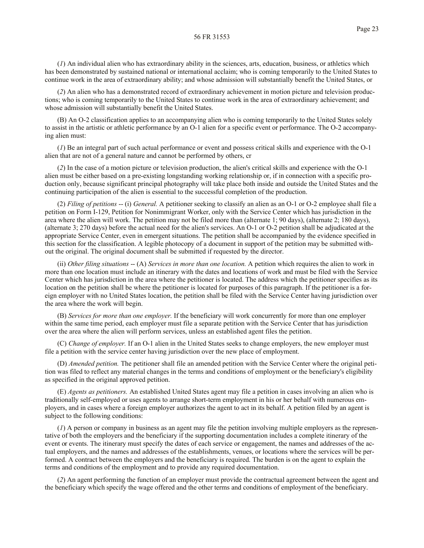(*1*) An individual alien who has extraordinary ability in the sciences, arts, education, business, or athletics which has been demonstrated by sustained national or international acclaim; who is coming temporarily to the United States to continue work in the area of extraordinary ability; and whose admission will substantially benefit the United States, or

(*2*) An alien who has a demonstrated record of extraordinary achievement in motion picture and television productions; who is coming temporarily to the United States to continue work in the area of extraordinary achievement; and whose admission will substantially benefit the United States.

(B) An O-2 classification applies to an accompanying alien who is coming temporarily to the United States solely to assist in the artistic or athletic performance by an O-1 alien for a specific event or performance. The O-2 accompanying alien must:

(*1*) Be an integral part of such actual performance or event and possess critical skills and experience with the O-1 alien that are not of a general nature and cannot be performed by others, cr

(*2*) In the case of a motion picture or television production, the alien's critical skills and experience with the O-1 alien must be either based on a pre-existing longstanding working relationship or, if in connection with a specific production only, because significant principal photography will take place both inside and outside the United States and the continuing participation of the alien is essential to the successful completion of the production.

(2) *Filing of petitions* -- (i) *General.* A petitioner seeking to classify an alien as an O-1 or O-2 employee shall file a petition on Form I-129, Petition for Nonimmigrant Worker, only with the Service Center which has jurisdiction in the area where the alien will work. The petition may not be filed more than (alternate 1; 90 days), (alternate 2; 180 days), (alternate 3; 270 days) before the actual need for the alien's services. An O-1 or O-2 petition shall be adjudicated at the appropriate Service Center, even in emergent situations. The petition shall be accompanied by the evidence specified in this section for the classification. A legible photocopy of a document in support of the petition may be submitted without the original. The original document shall be submitted if requested by the director.

(ii) *Other filing situations* -- (A) *Services in more than one location.* A petition which requires the alien to work in more than one location must include an itinerary with the dates and locations of work and must be filed with the Service Center which has jurisdiction in the area where the petitioner is located. The address which the petitioner specifies as its location on the petition shall be where the petitioner is located for purposes of this paragraph. If the petitioner is a foreign employer with no United States location, the petition shall be filed with the Service Center having jurisdiction over the area where the work will begin.

(B) *Services for more than one employer.* If the beneficiary will work concurrently for more than one employer within the same time period, each employer must file a separate petition with the Service Center that has jurisdiction over the area where the alien will perform services, unless an established agent files the petition.

(C) *Change of employer.* If an O-1 alien in the United States seeks to change employers, the new employer must file a petition with the service center having jurisdiction over the new place of employment.

(D) *Amended petition.* The petitioner shall file an amended petition with the Service Center where the original petition was filed to reflect any material changes in the terms and conditions of employment or the beneficiary's eligibility as specified in the original approved petition.

(E) *Agents as petitioners.* An established United States agent may file a petition in cases involving an alien who is traditionally self-employed or uses agents to arrange short-term employment in his or her behalf with numerous employers, and in cases where a foreign employer authorizes the agent to act in its behalf. A petition filed by an agent is subject to the following conditions:

(*1*) A person or company in business as an agent may file the petition involving multiple employers as the representative of both the employers and the beneficiary if the supporting documentation includes a complete itinerary of the event or events. The itinerary must specify the dates of each service or engagement, the names and addresses of the actual employers, and the names and addresses of the establishments, venues, or locations where the services will be performed. A contract between the employers and the beneficiary is required. The burden is on the agent to explain the terms and conditions of the employment and to provide any required documentation.

(*2*) An agent performing the function of an employer must provide the contractual agreement between the agent and the beneficiary which specify the wage offered and the other terms and conditions of employment of the beneficiary.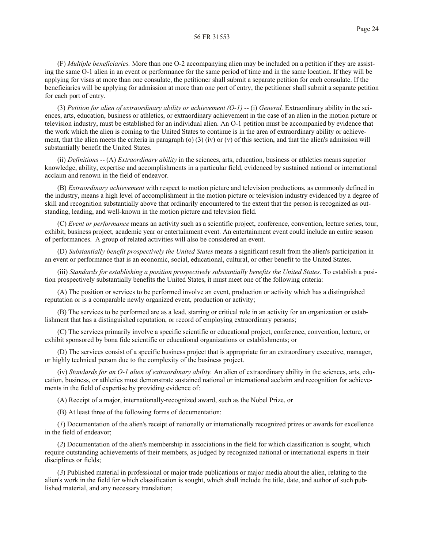(F) *Multiple beneficiaries.* More than one O-2 accompanying alien may be included on a petition if they are assisting the same O-1 alien in an event or performance for the same period of time and in the same location. If they will be applying for visas at more than one consulate, the petitioner shall submit a separate petition for each consulate. If the beneficiaries will be applying for admission at more than one port of entry, the petitioner shall submit a separate petition for each port of entry.

(3) *Petition for alien of extraordinary ability or achievement (O-1)* -- (i) *General.* Extraordinary ability in the sciences, arts, education, business or athletics, or extraordinary achievement in the case of an alien in the motion picture or television industry, must be established for an individual alien. An O-1 petition must be accompanied by evidence that the work which the alien is coming to the United States to continue is in the area of extraordinary ability or achievement, that the alien meets the criteria in paragraph (o) (3) (iv) or (v) of this section, and that the alien's admission will substantially benefit the United States.

(ii) *Definitions* -- (A) *Extraordinary ability* in the sciences, arts, education, business or athletics means superior knowledge, ability, expertise and accomplishments in a particular field, evidenced by sustained national or international acclaim and renown in the field of endeavor.

(B) *Extraordinary achievement* with respect to motion picture and television productions, as commonly defined in the industry, means a high level of accomplishment in the motion picture or television industry evidenced by a degree of skill and recognition substantially above that ordinarily encountered to the extent that the person is recognized as outstanding, leading, and well-known in the motion picture and television field.

(C) *Event or performance* means an activity such as a scientific project, conference, convention, lecture series, tour, exhibit, business project, academic year or entertainment event. An entertainment event could include an entire season of performances. A group of related activities will also be considered an event.

(D) *Substantially benefit prospectively the United States* means a significant result from the alien's participation in an event or performance that is an economic, social, educational, cultural, or other benefit to the United States.

(iii) *Standards for establishing a position prospectively substantially benefits the United States.* To establish a position prospectively substantially benefits the United States, it must meet one of the following criteria:

(A) The position or services to be performed involve an event, production or activity which has a distinguished reputation or is a comparable newly organized event, production or activity;

(B) The services to be performed are as a lead, starring or critical role in an activity for an organization or establishment that has a distinguished reputation, or record of employing extraordinary persons;

(C) The services primarily involve a specific scientific or educational project, conference, convention, lecture, or exhibit sponsored by bona fide scientific or educational organizations or establishments; or

(D) The services consist of a specific business project that is appropriate for an extraordinary executive, manager, or highly technical person due to the complexity of the business project.

(iv) *Standards for an O-1 alien of extraordinary ability.* An alien of extraordinary ability in the sciences, arts, education, business, or athletics must demonstrate sustained national or international acclaim and recognition for achievements in the field of expertise by providing evidence of:

(A) Receipt of a major, internationally-recognized award, such as the Nobel Prize, or

(B) At least three of the following forms of documentation:

(*1*) Documentation of the alien's receipt of nationally or internationally recognized prizes or awards for excellence in the field of endeavor;

(*2*) Documentation of the alien's membership in associations in the field for which classification is sought, which require outstanding achievements of their members, as judged by recognized national or international experts in their disciplines or fields;

(*3*) Published material in professional or major trade publications or major media about the alien, relating to the alien's work in the field for which classification is sought, which shall include the title, date, and author of such published material, and any necessary translation;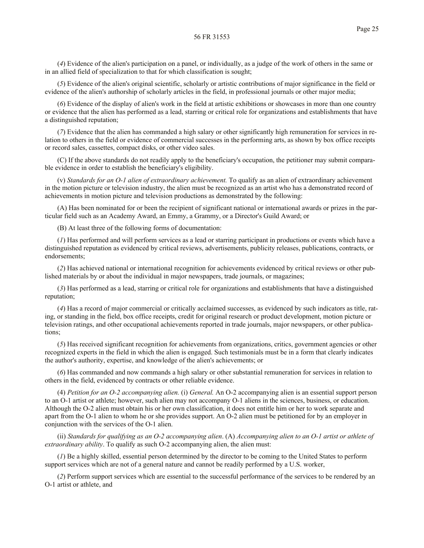(*4*) Evidence of the alien's participation on a panel, or individually, as a judge of the work of others in the same or in an allied field of specialization to that for which classification is sought;

(*5*) Evidence of the alien's original scientific, scholarly or artistic contributions of major significance in the field or evidence of the alien's authorship of scholarly articles in the field, in professional journals or other major media;

(*6*) Evidence of the display of alien's work in the field at artistic exhibitions or showcases in more than one country or evidence that the alien has performed as a lead, starring or critical role for organizations and establishments that have a distinguished reputation;

(*7*) Evidence that the alien has commanded a high salary or other significantly high remuneration for services in relation to others in the field or evidence of commercial successes in the performing arts, as shown by box office receipts or record sales, cassettes, compact disks, or other video sales.

(C) If the above standards do not readily apply to the beneficiary's occupation, the petitioner may submit comparable evidence in order to establish the beneficiary's eligibility.

(v) *Standards for an O-1 alien of extraordinary achievement.* To qualify as an alien of extraordinary achievement in the motion picture or television industry, the alien must be recognized as an artist who has a demonstrated record of achievements in motion picture and television productions as demonstrated by the following:

(A) Has been nominated for or been the recipient of significant national or international awards or prizes in the particular field such as an Academy Award, an Emmy, a Grammy, or a Director's Guild Award; or

(B) At least three of the following forms of documentation:

(*1*) Has performed and will perform services as a lead or starring participant in productions or events which have a distinguished reputation as evidenced by critical reviews, advertisements, publicity releases, publications, contracts, or endorsements;

(*2*) Has achieved national or international recognition for achievements evidenced by critical reviews or other published materials by or about the individual in major newspapers, trade journals, or magazines;

(*3*) Has performed as a lead, starring or critical role for organizations and establishments that have a distinguished reputation;

(*4*) Has a record of major commercial or critically acclaimed successes, as evidenced by such indicators as title, rating, or standing in the field, box office receipts, credit for original research or product development, motion picture or television ratings, and other occupational achievements reported in trade journals, major newspapers, or other publications;

(*5*) Has received significant recognition for achievements from organizations, critics, government agencies or other recognized experts in the field in which the alien is engaged. Such testimonials must be in a form that clearly indicates the author's authority, expertise, and knowledge of the alien's achievements; or

(*6*) Has commanded and now commands a high salary or other substantial remuneration for services in relation to others in the field, evidenced by contracts or other reliable evidence.

(4) *Petition for an O-2 accompanying alien.* (i) *General.* An O-2 accompanying alien is an essential support person to an O-1 artist or athlete; however, such alien may not accompany O-1 aliens in the sciences, business, or education. Although the O-2 alien must obtain his or her own classification, it does not entitle him or her to work separate and apart from the O-1 alien to whom he or she provides support. An O-2 alien must be petitioned for by an employer in conjunction with the services of the O-1 alien.

(ii) *Standards for qualifying as an O-2 accompanying alien*. (A) *Accompanying alien to an O-1 artist or athlete of extraordinary ability*. To qualify as such O-2 accompanying alien, the alien must:

(*1*) Be a highly skilled, essential person determined by the director to be coming to the United States to perform support services which are not of a general nature and cannot be readily performed by a U.S. worker,

(*2*) Perform support services which are essential to the successful performance of the services to be rendered by an O-1 artist or athlete, and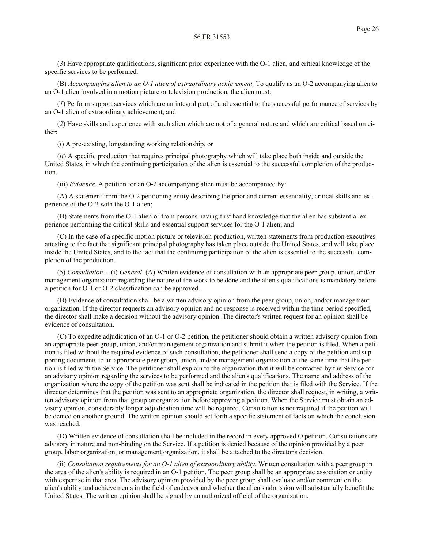(*3*) Have appropriate qualifications, significant prior experience with the O-1 alien, and critical knowledge of the specific services to be performed.

(B) *Accompanying alien to an O-1 alien of extraordinary achievement.* To qualify as an O-2 accompanying alien to an O-1 alien involved in a motion picture or television production, the alien must:

(*1*) Perform support services which are an integral part of and essential to the successful performance of services by an O-1 alien of extraordinary achievement, and

(*2*) Have skills and experience with such alien which are not of a general nature and which are critical based on either:

(*i*) A pre-existing, longstanding working relationship, or

(*ii*) A specific production that requires principal photography which will take place both inside and outside the United States, in which the continuing participation of the alien is essential to the successful completion of the production.

(iii) *Evidence*. A petition for an O-2 accompanying alien must be accompanied by:

(A) A statement from the O-2 petitioning entity describing the prior and current essentiality, critical skills and experience of the O-2 with the O-1 alien;

(B) Statements from the O-1 alien or from persons having first hand knowledge that the alien has substantial experience performing the critical skills and essential support services for the O-1 alien; and

(C) In the case of a specific motion picture or television production, written statements from production executives attesting to the fact that significant principal photography has taken place outside the United States, and will take place inside the United States, and to the fact that the continuing participation of the alien is essential to the successful completion of the production.

(5) *Consultation* -- (i) *General*. (A) Written evidence of consultation with an appropriate peer group, union, and/or management organization regarding the nature of the work to be done and the alien's qualifications is mandatory before a petition for O-1 or O-2 classification can be approved.

(B) Evidence of consultation shall be a written advisory opinion from the peer group, union, and/or management organization. If the director requests an advisory opinion and no response is received within the time period specified, the director shall make a decision without the advisory opinion. The director's written request for an opinion shall be evidence of consultation.

(C) To expedite adjudication of an O-1 or O-2 petition, the petitioner should obtain a written advisory opinion from an appropriate peer group, union, and/or management organization and submit it when the petition is filed. When a petition is filed without the required evidence of such consultation, the petitioner shall send a copy of the petition and supporting documents to an appropriate peer group, union, and/or management organization at the same time that the petition is filed with the Service. The petitioner shall explain to the organization that it will be contacted by the Service for an advisory opinion regarding the services to be performed and the alien's qualifications. The name and address of the organization where the copy of the petition was sent shall be indicated in the petition that is filed with the Service. If the director determines that the petition was sent to an appropriate organization, the director shall request, in writing, a written advisory opinion from that group or organization before approving a petition. When the Service must obtain an advisory opinion, considerably longer adjudication time will be required. Consultation is not required if the petition will be denied on another ground. The written opinion should set forth a specific statement of facts on which the conclusion was reached.

(D) Written evidence of consultation shall be included in the record in every approved O petition. Consultations are advisory in nature and non-binding on the Service. If a petition is denied because of the opinion provided by a peer group, labor organization, or management organization, it shall be attached to the director's decision.

(ii) *Consultation requirements for an O-1 alien of extraordinary ability.* Written consultation with a peer group in the area of the alien's ability is required in an O-1 petition. The peer group shall be an appropriate association or entity with expertise in that area. The advisory opinion provided by the peer group shall evaluate and/or comment on the alien's ability and achievements in the field of endeavor and whether the alien's admission will substantially benefit the United States. The written opinion shall be signed by an authorized official of the organization.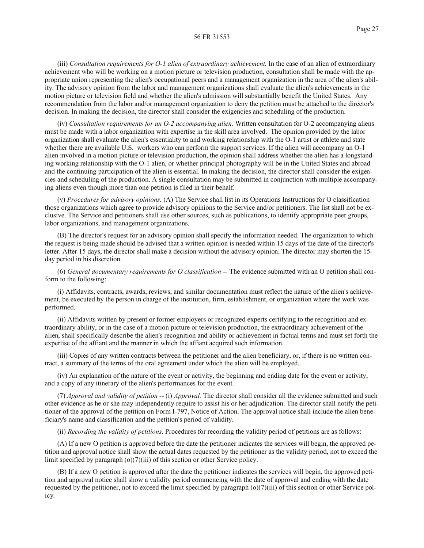(iii) *Consultation requirements for O-1 alien of extraordinary achievement.* In the case of an alien of extraordinary achievement who will be working on a motion picture or television production, consultation shall be made with the appropriate union representing the alien's occupational peers and a management organization in the area of the alien's ability. The advisory opinion from the labor and management organizations shall evaluate the alien's achievements in the motion picture or television field and whether the alien's admission will substantially benefit the United States. Any recommendation from the labor and/or management organization to deny the petition must be attached to the director's decision. In making the decision, the director shall consider the exigencies and scheduling of the production.

(iv) *Consultation requirements for an O-2 accompanying alien.* Written consultation for O-2 accompanying aliens must be made with a labor organization with expertise in the skill area involved. The opinion provided by the labor organization shall evaluate the alien's essentiality to and working relationship with the O-1 artist or athlete and state whether there are available U.S. workers who can perform the support services. If the alien will accompany an O-1 alien involved in a motion picture or television production, the opinion shall address whether the alien has a longstanding working relationship with the O-1 alien, or whether principal photography will be in the United States and abroad and the continuing participation of the alien is essential. In making the decision, the director shall consider the exigencies and scheduling of the production. A single consultation may be submitted in conjunction with multiple accompanying aliens even though more than one petition is filed in their behalf.

(v) *Procedures for advisory opinions.* (A) The Service shall list in its Operations Instructions for O classification those organizations which agree to provide advisory opinions to the Service and/or petitioners. The list shall not be exclusive. The Service and petitioners shall use other sources, such as publications, to identify appropriate peer groups, labor organizations, and management organizations.

(B) The director's request for an advisory opinion shall specify the information needed. The organization to which the request is being made should be advised that a written opinion is needed within 15 days of the date of the director's letter. After 15 days, the director shall make a decision without the advisory opinion. The director may shorten the 15 day period in his discretion.

(6) *General documentary requirements for O classification --* The evidence submitted with an O petition shall conform to the following:

(i) Affidavits, contracts, awards, reviews, and similar documentation must reflect the nature of the alien's achievement, be executed by the person in charge of the institution, firm, establishment, or organization where the work was performed.

(ii) Affidavits written by present or former employers or recognized experts certifying to the recognition and extraordinary ability, or in the case of a motion picture or television production, the extraordinary achievement of the alien, shall specifically describe the alien's recognition and ability or achievement in factual terms and must set forth the expertise of the affiant and the manner in which the affiant acquired such information.

(iii) Copies of any written contracts between the petitioner and the alien beneficiary, or, if there is no written contract, a summary of the terms of the oral agreement under which the alien will be employed.

(iv) An explanation of the nature of the event or activity, the beginning and ending date for the event or activity, and a copy of any itinerary of the alien's performances for the event.

(7) *Approval and validity of petition* -- (i) *Approval.* The director shall consider all the evidence submitted and such other evidence as he or she may independently require to assist his or her adjudication. The director shall notify the petitioner of the approval of the petition on Form I-797, Notice of Action. The approval notice shall include the alien beneficiary's name and classification and the petition's period of validity.

(ii) *Recording the validity of petitions.* Procedures for recording the validity period of petitions are as follows:

(A) If a new O petition is approved before the date the petitioner indicates the services will begin, the approved petition and approval notice shall show the actual dates requested by the petitioner as the validity period, not to exceed the limit specified by paragraph (o)(7)(iii) of this section or other Service policy.

(B) If a new O petition is approved after the date the petitioner indicates the services will begin, the approved petition and approval notice shall show a validity period commencing with the date of approval and ending with the date requested by the petitioner, not to exceed the limit specified by paragraph (o)(7)(iii) of this section or other Service policy.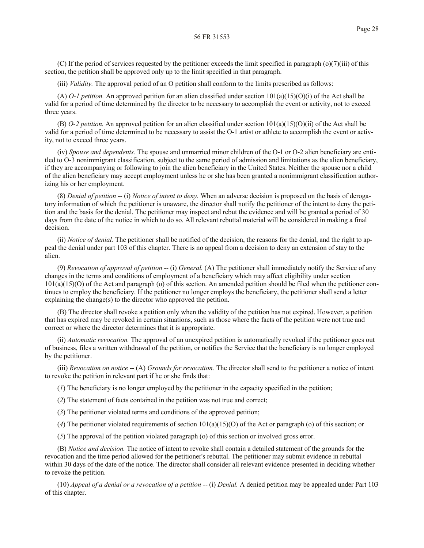(C) If the period of services requested by the petitioner exceeds the limit specified in paragraph (o)(7)(iii) of this section, the petition shall be approved only up to the limit specified in that paragraph.

(iii) *Validity.* The approval period of an O petition shall conform to the limits prescribed as follows:

(A) *O-1 petition.* An approved petition for an alien classified under section 101(a)(15)(O)(i) of the Act shall be valid for a period of time determined by the director to be necessary to accomplish the event or activity, not to exceed three years.

(B) *O-2 petition.* An approved petition for an alien classified under section 101(a)(15)(O)(ii) of the Act shall be valid for a period of time determined to be necessary to assist the O-1 artist or athlete to accomplish the event or activity, not to exceed three years.

(iv) *Spouse and dependents.* The spouse and unmarried minor children of the O-1 or O-2 alien beneficiary are entitled to O-3 nonimmigrant classification, subject to the same period of admission and limitations as the alien beneficiary, if they are accompanying or following to join the alien beneficiary in the United States. Neither the spouse nor a child of the alien beneficiary may accept employment unless he or she has been granted a nonimmigrant classification authorizing his or her employment.

(8) *Denial of petition* -- (i) *Notice of intent to deny.* When an adverse decision is proposed on the basis of derogatory information of which the petitioner is unaware, the director shall notify the petitioner of the intent to deny the petition and the basis for the denial. The petitioner may inspect and rebut the evidence and will be granted a period of 30 days from the date of the notice in which to do so. All relevant rebuttal material will be considered in making a final decision.

(ii) *Notice of denial.* The petitioner shall be notified of the decision, the reasons for the denial, and the right to appeal the denial under part 103 of this chapter. There is no appeal from a decision to deny an extension of stay to the alien.

(9) *Revocation of approval of petition* -- (i) *General.* (A) The petitioner shall immediately notify the Service of any changes in the terms and conditions of employment of a beneficiary which may affect eligibility under section  $101(a)(15)(O)$  of the Act and paragraph (o) of this section. An amended petition should be filed when the petitioner continues to employ the beneficiary. If the petitioner no longer employs the beneficiary, the petitioner shall send a letter explaining the change(s) to the director who approved the petition.

(B) The director shall revoke a petition only when the validity of the petition has not expired. However, a petition that has expired may be revoked in certain situations, such as those where the facts of the petition were not true and correct or where the director determines that it is appropriate.

(ii) *Automatic revocation.* The approval of an unexpired petition is automatically revoked if the petitioner goes out of business, files a written withdrawal of the petition, or notifies the Service that the beneficiary is no longer employed by the petitioner.

(iii) *Revocation on notice* -- (A) *Grounds for revocation.* The director shall send to the petitioner a notice of intent to revoke the petition in relevant part if he or she finds that:

(*1*) The beneficiary is no longer employed by the petitioner in the capacity specified in the petition;

(*2*) The statement of facts contained in the petition was not true and correct;

(*3*) The petitioner violated terms and conditions of the approved petition;

(4) The petitioner violated requirements of section  $101(a)(15)(O)$  of the Act or paragraph (o) of this section; or

(*5*) The approval of the petition violated paragraph (o) of this section or involved gross error.

(B) *Notice and decision.* The notice of intent to revoke shall contain a detailed statement of the grounds for the revocation and the time period allowed for the petitioner's rebuttal. The petitioner may submit evidence in rebuttal within 30 days of the date of the notice. The director shall consider all relevant evidence presented in deciding whether to revoke the petition.

(10) *Appeal of a denial or a revocation of a petition* -- (i) *Denial.* A denied petition may be appealed under Part 103 of this chapter.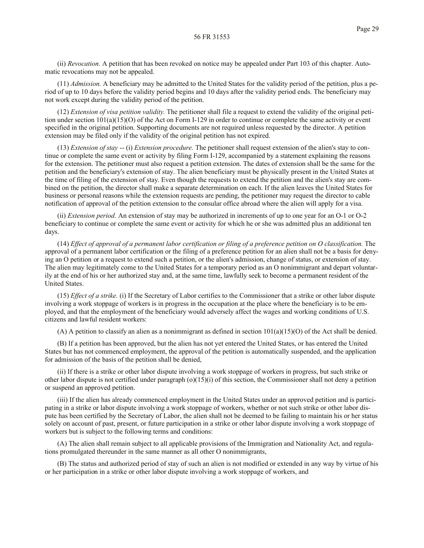(ii) *Revocation.* A petition that has been revoked on notice may be appealed under Part 103 of this chapter. Automatic revocations may not be appealed.

(11) *Admission.* A beneficiary may be admitted to the United States for the validity period of the petition, plus a period of up to 10 days before the validity period begins and 10 days after the validity period ends. The beneficiary may not work except during the validity period of the petition.

(12) *Extension of visa petition validity.* The petitioner shall file a request to extend the validity of the original petition under section 101(a)(15)(O) of the Act on Form I-129 in order to continue or complete the same activity or event specified in the original petition. Supporting documents are not required unless requested by the director. A petition extension may be filed only if the validity of the original petition has not expired.

(13) *Extension of stay* -- (i) *Extension procedure.* The petitioner shall request extension of the alien's stay to continue or complete the same event or activity by filing Form I-129, accompanied by a statement explaining the reasons for the extension. The petitioner must also request a petition extension. The dates of extension shall be the same for the petition and the beneficiary's extension of stay. The alien beneficiary must be physically present in the United States at the time of filing of the extension of stay. Even though the requests to extend the petition and the alien's stay are combined on the petition, the director shall make a separate determination on each. If the alien leaves the United States for business or personal reasons while the extension requests are pending, the petitioner may request the director to cable notification of approval of the petition extension to the consular office abroad where the alien will apply for a visa.

(ii) *Extension period.* An extension of stay may be authorized in increments of up to one year for an O-1 or O-2 beneficiary to continue or complete the same event or activity for which he or she was admitted plus an additional ten days.

(14) *Effect of approval of a permanent labor certification or filing of a preference petition on O classification.* The approval of a permanent labor certification or the filing of a preference petition for an alien shall not be a basis for denying an O petition or a request to extend such a petition, or the alien's admission, change of status, or extension of stay. The alien may legitimately come to the United States for a temporary period as an O nonimmigrant and depart voluntarily at the end of his or her authorized stay and, at the same time, lawfully seek to become a permanent resident of the United States.

(15) *Effect of a strike.* (i) If the Secretary of Labor certifies to the Commissioner that a strike or other labor dispute involving a work stoppage of workers is in progress in the occupation at the place where the beneficiary is to be employed, and that the employment of the beneficiary would adversely affect the wages and working conditions of U.S. citizens and lawful resident workers:

(A) A petition to classify an alien as a nonimmigrant as defined in section  $101(a)(15)(O)$  of the Act shall be denied.

(B) If a petition has been approved, but the alien has not yet entered the United States, or has entered the United States but has not commenced employment, the approval of the petition is automatically suspended, and the application for admission of the basis of the petition shall be denied,

(ii) If there is a strike or other labor dispute involving a work stoppage of workers in progress, but such strike or other labor dispute is not certified under paragraph (o)(15)(i) of this section, the Commissioner shall not deny a petition or suspend an approved petition.

(iii) If the alien has already commenced employment in the United States under an approved petition and is participating in a strike or labor dispute involving a work stoppage of workers, whether or not such strike or other labor dispute has been certified by the Secretary of Labor, the alien shall not be deemed to be failing to maintain his or her status solely on account of past, present, or future participation in a strike or other labor dispute involving a work stoppage of workers but is subject to the following terms and conditions:

(A) The alien shall remain subject to all applicable provisions of the Immigration and Nationality Act, and regulations promulgated thereunder in the same manner as all other O nonimmigrants,

(B) The status and authorized period of stay of such an alien is not modified or extended in any way by virtue of his or her participation in a strike or other labor dispute involving a work stoppage of workers, and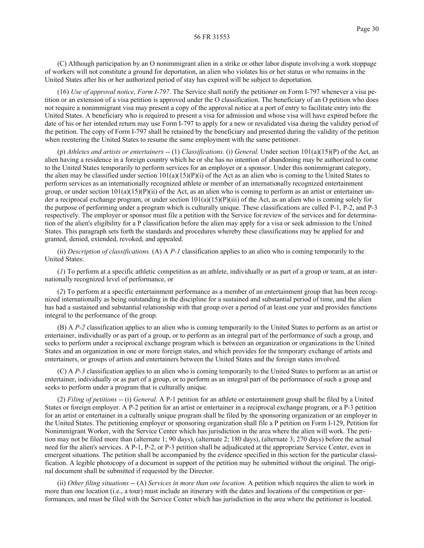(C) Although participation by an O nonimmigrant alien in a strike or other labor dispute involving a work stoppage of workers will not constitute a ground for deportation, an alien who violates his or her status or who remains in the United States after his or her authorized period of stay has expired will be subject to deportation.

(16) *Use of approval notice, Form I-797.* The Service shall notify the petitioner on Form I-797 whenever a visa petition or an extension of a visa petition is approved under the O classification. The beneficiary of an O petition who does not require a nonimmigrant visa may present a copy of the approval notice at a port of entry to facilitate entry into the United States. A beneficiary who is required to present a visa for admission and whose visa will have expired before the date of his or her intended return may use Form I-797 to apply for a new or revalidated visa during the validity period of the petition. The copy of Form I-797 shall be retained by the beneficiary and presented during the validity of the petition when reentering the United States to resume the same employment with the same petitioner.

(p) *Athletes and artists or entertainers* -- (1) *Classifications.* (i) *General.* Under section 101(a)(15)(P) of the Act, an alien having a residence in a foreign country which he or she has no intention of abandoning may be authorized to come to the United States temporarily to perform services for an employer or a sponsor. Under this nonimmigrant category, the alien may be classified under section  $101(a)(15)(P)(i)$  of the Act as an alien who is coming to the United States to perform services as an internationally recognized athlete or member of an internationally recognized entertainment group, or under section  $101(a)(15)(P(ii)$  of the Act, as an alien who is coming to perform as an artist or entertainer under a reciprocal exchange program, or under section  $101(a)(15)(P)(iii)$  of the Act, as an alien who is coming solely for the purpose of performing under a program which is culturally unique. These classifications are called P-1, P-2, and P-3 respectively. The employer or sponsor must file a petition with the Service for review of the services and for determination of the alien's eligibility for a P classification before the alien may apply for a visa or seek admission to the United States. This paragraph sets forth the standards and procedures whereby these classifications may be applied for and granted, denied, extended, revoked, and appealed.

(ii) *Description of classifications.* (A) A *P-1* classification applies to an alien who is coming temporarily to the United States:

(*1*) To perform at a specific athletic competition as an athlete, individually or as part of a group or team, at an internationally recognized level of performance, or

(*2*) To perform at a specific entertainment performance as a member of an entertainment group that has been recognized internationally as being outstanding in the discipline for a sustained and substantial period of time, and the alien has had a sustained and substantial relationship with that group over a period of at least one year and provides functions integral to the performance of the group.

(B) A *P-2* classification applies to an alien who is coming temporarily to the United States to perform as an artist or entertainer, individually or as part of a group, or to perform as an integral part of the performance of such a group, and seeks to perform under a reciprocal exchange program which is between an organization or organizations in the United States and an organization in one or more foreign states, and which provides for the temporary exchange of artists and entertainers, or groups of artists and entertainers between the United States and the foreign states involved.

(C) A *P-3* classification applies to an alien who is coming temporarily to the United States to perform as an artist or entertainer, individually or as part of a group, or to perform as an integral part of the performance of such a group and seeks to perform under a program that is culturally unique.

(2) *Filing of petitions* -- (i) *General.* A P-1 petition for an athlete or entertainment group shall be filed by a United States or foreign employer. A P-2 petition for an artist or entertainer in a reciprocal exchange program, or a P-3 petition for an artist or entertainer in a culturally unique program shall be filed by the sponsoring organization or an employer in the United States. The petitioning employer or sponsoring organization shall file a P petition on Form I-129, Petition for Nonimmigrant Worker, with the Service Center which has jurisdiction in the area where the alien will work. The petition may not be filed more than (alternate 1; 90 days), (alternate 2; 180 days), (alternate 3; 270 days) before the actual need for the alien's services. A P-1, P-2, or P-3 petition shall be adjudicated at the appropriate Service Center, even in emergent situations. The petition shall be accompanied by the evidence specified in this section for the particular classification. A legible photocopy of a document in support of the petition may be submitted without the original. The original document shall be submitted if requested by the Director.

(ii) *Other filing situations* -- (A) *Services in more than one location.* A petition which requires the alien to work in more than one location (i.e., a tour) must include an itinerary with the dates and locations of the competition or performances, and must be filed with the Service Center which has jurisdiction in the area where the petitioner is located.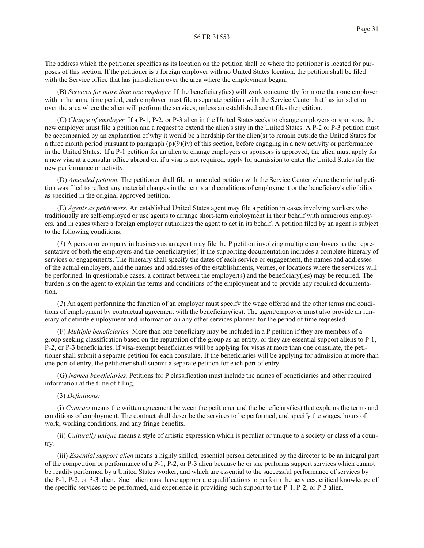The address which the petitioner specifies as its location on the petition shall be where the petitioner is located for purposes of this section. If the petitioner is a foreign employer with no United States location, the petition shall be filed with the Service office that has jurisdiction over the area where the employment began.

(B) *Services for more than one employer.* If the beneficiary(ies) will work concurrently for more than one employer within the same time period, each employer must file a separate petition with the Service Center that has jurisdiction over the area where the alien will perform the services, unless an established agent files the petition.

(C) *Change of employer.* If a P-1, P-2, or P-3 alien in the United States seeks to change employers or sponsors, the new employer must file a petition and a request to extend the alien's stay in the United States. A P-2 or P-3 petition must be accompanied by an explanation of why it would be a hardship for the alien(s) to remain outside the United States for a three month period pursuant to paragraph  $(p)(9)(iv)$  of this section, before engaging in a new activity or performance in the United States. If a P-1 petition for an alien to change employers or sponsors is approved, the alien must apply for a new visa at a consular office abroad or, if a visa is not required, apply for admission to enter the United States for the new performance or activity.

(D) *Amended petition.* The petitioner shall file an amended petition with the Service Center where the original petition was filed to reflect any material changes in the terms and conditions of employment or the beneficiary's eligibility as specified in the original approved petition.

(E) *Agents as petitioners.* An established United States agent may file a petition in cases involving workers who traditionally are self-employed or use agents to arrange short-term employment in their behalf with numerous employers, and in cases where a foreign employer authorizes the agent to act in its behalf. A petition filed by an agent is subject to the following conditions:

(*1*) A person or company in business as an agent may file the P petition involving multiple employers as the representative of both the employers and the beneficiary(ies) if the supporting documentation includes a complete itinerary of services or engagements. The itinerary shall specify the dates of each service or engagement, the names and addresses of the actual employers, and the names and addresses of the establishments, venues, or locations where the services will be performed. In questionable cases, a contract between the employer(s) and the beneficiary(ies) may be required. The burden is on the agent to explain the terms and conditions of the employment and to provide any required documentation.

(*2*) An agent performing the function of an employer must specify the wage offered and the other terms and conditions of employment by contractual agreement with the beneficiary(ies). The agent/employer must also provide an itinerary of definite employment and information on any other services planned for the period of time requested.

(F) *Multiple beneficiaries.* More than one beneficiary may be included in a P petition if they are members of a group seeking classification based on the reputation of the group as an entity, or they are essential support aliens to P-1, P-2, or P-3 beneficiaries. If visa-exempt beneficiaries will be applying for visas at more than one consulate, the petitioner shall submit a separate petition for each consulate. If the beneficiaries will be applying for admission at more than one port of entry, the petitioner shall submit a separate petition for each port of entry.

(G) *Named beneficiaries.* Petitions for P classification must include the names of beneficiaries and other required information at the time of filing.

## (3) *Definitions:*

(i) *Contract* means the written agreement between the petitioner and the beneficiary(ies) that explains the terms and conditions of employment. The contract shall describe the services to be performed, and specify the wages, hours of work, working conditions, and any fringe benefits.

(ii) *Culturally unique* means a style of artistic expression which is peculiar or unique to a society or class of a country.

(iii) *Essential support alien* means a highly skilled, essential person determined by the director to be an integral part of the competition or performance of a P-1, P-2, or P-3 alien because he or she performs support services which cannot be readily performed by a United States worker, and which are essential to the successful performance of services by the P-1, P-2, or P-3 alien. Such alien must have appropriate qualifications to perform the services, critical knowledge of the specific services to be performed, and experience in providing such support to the P-1, P-2, or P-3 alien.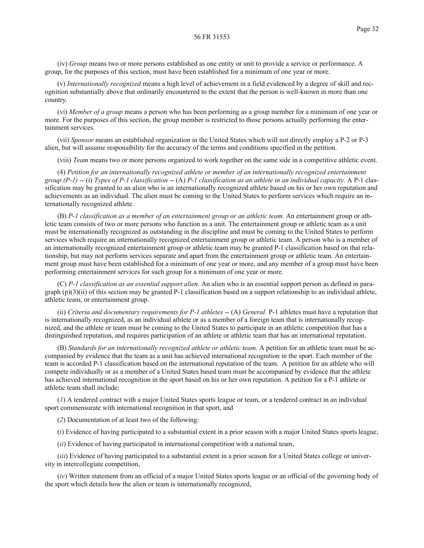(iv) *Group* means two or more persons established as one entity or unit to provide a service or performance. A group, for the purposes of this section, must have been established for a minimum of one year or more.

(v) *Internationally recognized* means a high level of achievement in a field evidenced by a degree of skill and recognition substantially above that ordinarily encountered to the extent that the person is well-known in more than one country.

(vi) *Member of a group* means a person who has been performing as a group member for a minimum of one year or more. For the purposes of this section, the group member is restricted to those persons actually performing the entertainment services.

(vii) *Sponsor* means an established organization in the United States which will not directly employ a P-2 or P-3 alien, but will assume responsibility for the accuracy of the terms and conditions specified in the petition.

(viii) *Team* means two or more persons organized to work together on the same side in a competitive athletic event.

(4) *Petition for an internationally recognized athlete or member of an internationally recognized entertainment group (P-1)* -- (i) *Types of P-1 classification* -- (A) *P-1 classification as an athlete in an individual capacity.* A P-1 classification may be granted to an alien who is an internationally recognized athlete based on his or her own reputation and achievements as an individual. The alien must be coming to the United States to perform services which require an internationally recognized athlete.

(B) *P-1 classification as a member of an entertainment group or an athletic team.* An entertainment group or athletic team consists of two or more persons who function as a unit. The entertainment group or athletic team as a unit must be internationally recognized as outstanding in the discipline and must be coming to the United States to perform services which require an internationally recognized entertainment group or athletic team. A person who is a member of an internationally recognized entertainment group or athletic team may be granted P-1 classification based on that relationship, but may not perform services separate and apart from the entertainment group or athletic team. An entertainment group must have been established for a minimum of one year or more, and any member of a group must have been performing entertainment services for such group for a minimum of one year or more.

(C) *P-1 classification as an essential support alien.* An alien who is an essential support person as defined in paragraph  $(p)(3)(ii)$  of this section may be granted P-1 classification based on a support relationship to an individual athlete, athletic team, or entertainment group.

(ii) *Criteria and documentary requirements for P-1 athletes* -- (A) *General.* P-1 athletes must have a reputation that is internationally recognized, as an individual athlete or as a member of a foreign team that is internationally recognized, and the athlete or team must be coming to the United States to participate in an athletic competition that has a distinguished reputation, and requires participation of an athlete or athletic team that has an international reputation.

(B) *Standards for an internationally recognized athlete or athletic team.* A petition for an athletic team must be accompanied by evidence that the team as a unit has achieved international recognition in the sport. Each member of the team is accorded P-1 classification based on the international reputation of the team. A petition for an athlete who will compete individually or as a member of a United States based team must be accompanied by evidence that the athlete has achieved international recognition in the sport based on his or her own reputation. A petition for a P-1 athlete or athletic team shall include:

(*1*) A tendered contract with a major United States sports league or team, or a tendered contract in an individual sport commensurate with international recognition in that sport, and

(*2*) Documentation of at least two of the following:

(*i*) Evidence of having participated to a substantial extent in a prior season with a major United States sports league,

(*ii*) Evidence of having participated in international competition with a national team,

(*iii*) Evidence of having participated to a substantial extent in a prior season for a United States college or university in intercollegiate competition,

(*iv*) Written statement from an official of a major United States sports league or an official of the governing body of the sport which details how the alien or team is internationally recognized,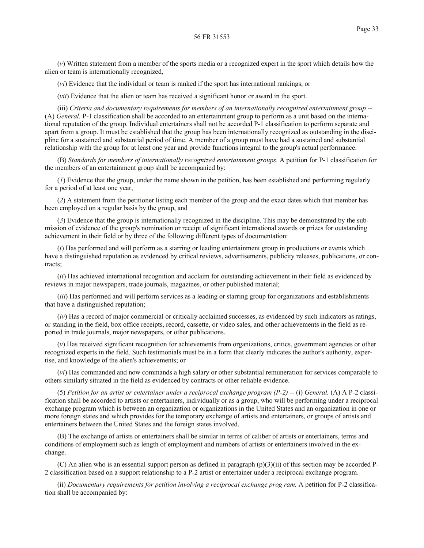(*vi*) Evidence that the individual or team is ranked if the sport has international rankings, or

(*vii*) Evidence that the alien or team has received a significant honor or award in the sport.

(iii) *Criteria and documentary requirements for members of an internationally recognized entertainment group* -- (A) *General.* P-1 classification shall be accorded to an entertainment group to perform as a unit based on the international reputation of the group. Individual entertainers shall not be accorded P-1 classification to perform separate and apart from a group. It must be established that the group has been internationally recognized as outstanding in the discipline for a sustained and substantial period of time. A member of a group must have had a sustained and substantial relationship with the group for at least one year and provide functions integral to the group's actual performance.

(B) *Standards for members of internationally recognized entertainment groups.* A petition for P-1 classification for the members of an entertainment group shall be accompanied by:

(*1*) Evidence that the group, under the name shown in the petition, has been established and performing regularly for a period of at least one year,

(*2*) A statement from the petitioner listing each member of the group and the exact dates which that member has been employed on a regular basis by the group, and

(*3*) Evidence that the group is internationally recognized in the discipline. This may be demonstrated by the submission of evidence of the group's nomination or receipt of significant international awards or prizes for outstanding achievement in their field or by three of the following different types of documentation:

(*i*) Has performed and will perform as a starring or leading entertainment group in productions or events which have a distinguished reputation as evidenced by critical reviews, advertisements, publicity releases, publications, or contracts;

(*ii*) Has achieved international recognition and acclaim for outstanding achievement in their field as evidenced by reviews in major newspapers, trade journals, magazines, or other published material;

(*iii*) Has performed and will perform services as a leading or starring group for organizations and establishments that have a distinguished reputation;

(*iv*) Has a record of major commercial or critically acclaimed successes, as evidenced by such indicators as ratings, or standing in the field, box office receipts, record, cassette, or video sales, and other achievements in the field as reported in trade journals, major newspapers, or other publications.

(*v*) Has received significant recognition for achievements from organizations, critics, government agencies or other recognized experts in the field. Such testimonials must be in a form that clearly indicates the author's authority, expertise, and knowledge of the alien's achievements; or

(*vi*) Has commanded and now commands a high salary or other substantial remuneration for services comparable to others similarly situated in the field as evidenced by contracts or other reliable evidence.

(5) *Petition for an artist or entertainer under a reciprocal exchange program (P-2)* -- (i) *General.* (A) A P-2 classification shall be accorded to artists or entertainers, individually or as a group, who will be performing under a reciprocal exchange program which is between an organization or organizations in the United States and an organization in one or more foreign states and which provides for the temporary exchange of artists and entertainers, or groups of artists and entertainers between the United States and the foreign states involved.

(B) The exchange of artists or entertainers shall be similar in terms of caliber of artists or entertainers, terms and conditions of employment such as length of employment and numbers of artists or entertainers involved in the exchange.

(C) An alien who is an essential support person as defined in paragraph (p)(3)(ii) of this section may be accorded P-2 classification based on a support relationship to a P-2 artist or entertainer under a reciprocal exchange program.

(ii) *Documentary requirements for petition involving a reciprocal exchange prog ram.* A petition for P-2 classification shall be accompanied by: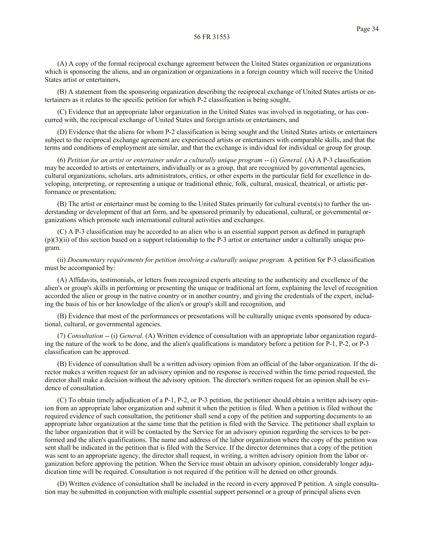(A) A copy of the formal reciprocal exchange agreement between the United States organization or organizations which is sponsoring the aliens, and an organization or organizations in a foreign country which will receive the United States artist or entertainers,

(B) A statement from the sponsoring organization describing the reciprocal exchange of United States artists or entertainers as it relates to the specific petition for which P-2 classification is being sought,

(C) Evidence that an appropriate labor organization in the United States was involved in negotiating, or has concurred with, the reciprocal exchange of United States and foreign artists or entertainers, and

(D) Evidence that the aliens for whom P-2 classification is being sought and the United States artists or entertainers subject to the reciprocal exchange agreement are experienced artists or entertainers with comparable skills, and that the terms and conditions of employment are similar, and that the exchange is individual for individual or group for group.

(6) *Petition for an artist or entertainer under a culturally unique program* -- (i) *General.* (A) A P-3 classification may be accorded to artists or entertainers, individually or as a group, that are recognized by governmental agencies, cultural organizations, scholars, arts administrators, critics, or other experts in the particular field for excellence in developing, interpreting, or representing a unique or traditional ethnic, folk, cultural, musical, theatrical, or artistic performance or presentation;

(B) The artist or entertainer must be coming to the United States primarily for cultural events(s) to further the understanding or development of that art form, and be sponsored primarily by educational, cultural, or governmental organizations which promote such international cultural activities and exchanges.

(C) A P-3 classification may be accorded to an alien who is an essential support person as defined in paragraph (p)(3)(ii) of this section based on a support relationship to the P-3 artist or entertainer under a culturally unique program.

(ii) *Documentary requirements for petition involving a culturally unique program.* A petition for P-3 classification must be accompanied by:

(A) Affidavits, testimonials, or letters from recognized experts attesting to the authenticity and excellence of the alien's or group's skills in performing or presenting the unique or traditional art form, explaining the level of recognition accorded the alien or group in the native country or in another country, and giving the credentials of the expert, including the basis of his or her knowledge of the alien's or group's skill and recognition, and

(B) Evidence that most of the performances or presentations will be culturally unique events sponsored by educational, cultural, or governmental agencies.

(7) *Consultation* -- (i) *General.* (A) Written evidence of consultation with an appropriate labor organization regarding the nature of the work to be done, and the alien's qualifications is mandatory before a petition for P-1, P-2, or P-3 classification can be approved.

(B) Evidence of consultation shall be a written advisory opinion from an official of the labor organization. If the director makes a written request for an advisory opinion and no response is received within the time period requested, the director shall make a decision without the advisory opinion. The director's written request for an opinion shall be evidence of consultation.

(C) To obtain timely adjudication of a P-1, P-2, or P-3 petition, the petitioner should obtain a written advisory opinion from an appropriate labor organization and submit it when the petition is filed. When a petition is filed without the required evidence of such consultation, the petitioner shall send a copy of the petition and supporting documents to an appropriate labor organization at the same time that the petition is filed with the Service. The petitioner shall explain to the labor organization that it will be contacted by the Service for an advisory opinion regarding the services to be performed and the alien's qualifications. The name and address of the labor organization where the copy of the petition was sent shall be indicated in the petition that is filed with the Service. If the director determines that a copy of the petition was sent to an appropriate agency, the director shall request, in writing, a written advisory opinion from the labor organization before approving the petition. When the Service must obtain an advisory opinion, considerably longer adjudication time will be required. Consultation is not required if the petition will be denied on other grounds.

(D) Written evidence of consultation shall be included in the record in every approved P petition. A single consultation may be submitted in conjunction with multiple essential support personnel or a group of principal aliens even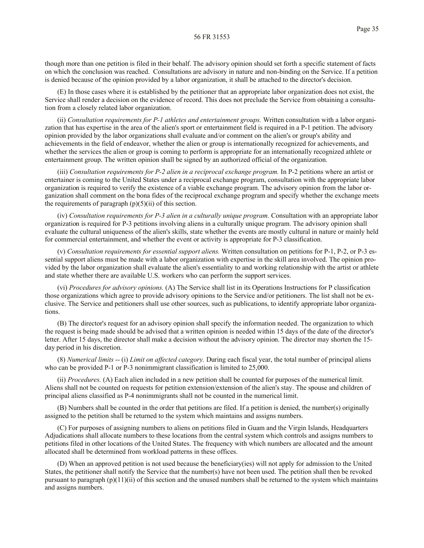though more than one petition is filed in their behalf. The advisory opinion should set forth a specific statement of facts on which the conclusion was reached. Consultations are advisory in nature and non-binding on the Service. If a petition is denied because of the opinion provided by a labor organization, it shall be attached to the director's decision.

(E) In those cases where it is established by the petitioner that an appropriate labor organization does not exist, the Service shall render a decision on the evidence of record. This does not preclude the Service from obtaining a consultation from a closely related labor organization.

(ii) *Consultation requirements for P-1 athletes and entertainment groups.* Written consultation with a labor organization that has expertise in the area of the alien's sport or entertainment field is required in a P-1 petition. The advisory opinion provided by the labor organizations shall evaluate and/or comment on the alien's or group's ability and achievements in the field of endeavor, whether the alien or group is internationally recognized for achievements, and whether the services the alien or group is coming to perform is appropriate for an internationally recognized athlete or entertainment group. The written opinion shall be signed by an authorized official of the organization.

(iii) *Consultation requirements for P-2 alien in a reciprocal exchange program.* In P-2 petitions where an artist or entertainer is coming to the United States under a reciprocal exchange program, consultation with the appropriate labor organization is required to verify the existence of a viable exchange program. The advisory opinion from the labor organization shall comment on the bona fides of the reciprocal exchange program and specify whether the exchange meets the requirements of paragraph  $(p)(5)(ii)$  of this section.

(iv) *Consultation requirements for P-3 alien in a culturally unique program.* Consultation with an appropriate labor organization is required for P-3 petitions involving aliens in a culturally unique program. The advisory opinion shall evaluate the cultural uniqueness of the alien's skills, state whether the events are mostly cultural in nature or mainly held for commercial entertainment, and whether the event or activity is appropriate for P-3 classification.

(v) *Consultation requirements for essential support aliens.* Written consultation on petitions for P-1, P-2, or P-3 essential support aliens must be made with a labor organization with expertise in the skill area involved. The opinion provided by the labor organization shall evaluate the alien's essentiality to and working relationship with the artist or athlete and state whether there are available U.S. workers who can perform the support services.

(vi) *Procedures for advisory opinions.* (A) The Service shall list in its Operations Instructions for P classification those organizations which agree to provide advisory opinions to the Service and/or petitioners. The list shall not be exclusive. The Service and petitioners shall use other sources, such as publications, to identify appropriate labor organizations.

(B) The director's request for an advisory opinion shall specify the information needed. The organization to which the request is being made should be advised that a written opinion is needed within 15 days of the date of the director's letter. After 15 days, the director shall make a decision without the advisory opinion. The director may shorten the 15 day period in his discretion.

(8) *Numerical limits* -- (i) *Limit on affected category.* During each fiscal year, the total number of principal aliens who can be provided P-1 or P-3 nonimmigrant classification is limited to 25,000.

(ii) *Procedures.* (A) Each alien included in a new petition shall be counted for purposes of the numerical limit. Aliens shall not be counted on requests for petition extension/extension of the alien's stay. The spouse and children of principal aliens classified as P-4 nonimmigrants shall not be counted in the numerical limit.

(B) Numbers shall be counted in the order that petitions are filed. If a petition is denied, the number(s) originally assigned to the petition shall be returned to the system which maintains and assigns numbers.

(C) For purposes of assigning numbers to aliens on petitions filed in Guam and the Virgin Islands, Headquarters Adjudications shall allocate numbers to these locations from the central system which controls and assigns numbers to petitions filed in other locations of the United States. The frequency with which numbers are allocated and the amount allocated shall be determined from workload patterns in these offices.

(D) When an approved petition is not used because the beneficiary(ies) will not apply for admission to the United States, the petitioner shall notify the Service that the number(s) have not been used. The petition shall then be revoked pursuant to paragraph  $(p)(11)(ii)$  of this section and the unused numbers shall be returned to the system which maintains and assigns numbers.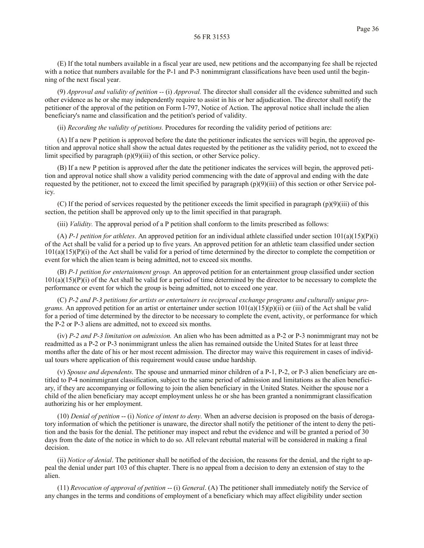(9) *Approval and validity of petition --* (i) *Approval.* The director shall consider all the evidence submitted and such other evidence as he or she may independently require to assist in his or her adjudication. The director shall notify the petitioner of the approval of the petition on Form I-797, Notice of Action. The approval notice shall include the alien beneficiary's name and classification and the petition's period of validity.

(ii) *Recording the validity of petitions.* Procedures for recording the validity period of petitions are:

(A) If a new P petition is approved before the date the petitioner indicates the services will begin, the approved petition and approval notice shall show the actual dates requested by the petitioner as the validity period, not to exceed the limit specified by paragraph (p)(9)(iii) of this section, or other Service policy.

(B) If a new P petition is approved after the date the petitioner indicates the services will begin, the approved petition and approval notice shall show a validity period commencing with the date of approval and ending with the date requested by the petitioner, not to exceed the limit specified by paragraph (p)(9)(iii) of this section or other Service policy.

(C) If the period of services requested by the petitioner exceeds the limit specified in paragraph  $(p)(9)(iii)$  of this section, the petition shall be approved only up to the limit specified in that paragraph.

(iii) *Validity.* The approval period of a P petition shall conform to the limits prescribed as follows:

(A) *P-1 petition for athletes*. An approved petition for an individual athlete classified under section  $101(a)(15)(P)(i)$ of the Act shall be valid for a period up to five years. An approved petition for an athletic team classified under section  $101(a)(15)(P)(i)$  of the Act shall be valid for a period of time determined by the director to complete the competition or event for which the alien team is being admitted, not to exceed six months.

(B) *P-1 petition for entertainment group.* An approved petition for an entertainment group classified under section  $101(a)(15)(P)(i)$  of the Act shall be valid for a period of time determined by the director to be necessary to complete the performance or event for which the group is being admitted, not to exceed one year.

(C) *P-2 and P-3 petitions for artists or entertainers in reciprocal exchange programs and culturally unique programs.* An approved petition for an artist or entertainer under section  $101(a)(15)(p)(ii)$  or (iii) of the Act shall be valid for a period of time determined by the director to be necessary to complete the event, activity, or performance for which the P-2 or P-3 aliens are admitted, not to exceed six months.

(iv) *P-2 and P-3 limitation on admission.* An alien who has been admitted as a P-2 or P-3 nonimmigrant may not be readmitted as a P-2 or P-3 nonimmigrant unless the alien has remained outside the United States for at least three months after the date of his or her most recent admission. The director may waive this requirement in cases of individual tours where application of this requirement would cause undue hardship.

(v) *Spouse and dependents*. The spouse and unmarried minor children of a P-1, P-2, or P-3 alien beneficiary are entitled to P-4 nonimmigrant classification, subject to the same period of admission and limitations as the alien beneficiary, if they are accompanying or following to join the alien beneficiary in the United States. Neither the spouse nor a child of the alien beneficiary may accept employment unless he or she has been granted a nonimmigrant classification authorizing his or her employment.

(10) *Denial of petition* -- (i) *Notice of intent to deny*. When an adverse decision is proposed on the basis of derogatory information of which the petitioner is unaware, the director shall notify the petitioner of the intent to deny the petition and the basis for the denial. The petitioner may inspect and rebut the evidence and will be granted a period of 30 days from the date of the notice in which to do so. All relevant rebuttal material will be considered in making a final decision.

(ii) *Notice of denial*. The petitioner shall be notified of the decision, the reasons for the denial, and the right to appeal the denial under part 103 of this chapter. There is no appeal from a decision to deny an extension of stay to the alien.

(11) *Revocation of approval of petition* -- (i) *General*. (A) The petitioner shall immediately notify the Service of any changes in the terms and conditions of employment of a beneficiary which may affect eligibility under section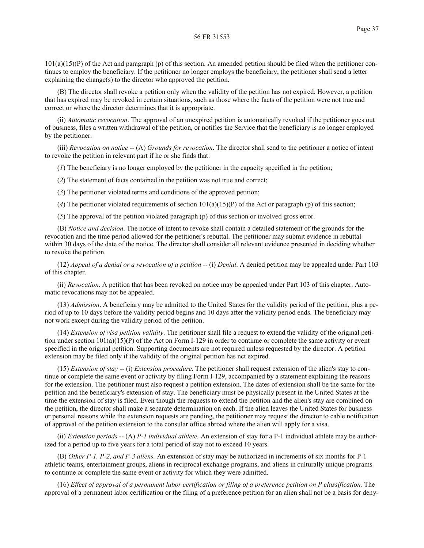$101(a)(15)(P)$  of the Act and paragraph (p) of this section. An amended petition should be filed when the petitioner continues to employ the beneficiary. If the petitioner no longer employs the beneficiary, the petitioner shall send a letter explaining the change(s) to the director who approved the petition.

(B) The director shall revoke a petition only when the validity of the petition has not expired. However, a petition that has expired may be revoked in certain situations, such as those where the facts of the petition were not true and correct or where the director determines that it is appropriate.

(ii) *Automatic revocation*. The approval of an unexpired petition is automatically revoked if the petitioner goes out of business, files a written withdrawal of the petition, or notifies the Service that the beneficiary is no longer employed by the petitioner.

(iii) *Revocation on notice* -- (A) *Grounds for revocation*. The director shall send to the petitioner a notice of intent to revoke the petition in relevant part if he or she finds that:

(*1*) The beneficiary is no longer employed by the petitioner in the capacity specified in the petition;

(*2*) The statement of facts contained in the petition was not true and correct;

(*3*) The petitioner violated terms and conditions of the approved petition;

(4) The petitioner violated requirements of section  $101(a)(15)(P)$  of the Act or paragraph (p) of this section;

(*5*) The approval of the petition violated paragraph (p) of this section or involved gross error.

(B) *Notice and decision*. The notice of intent to revoke shall contain a detailed statement of the grounds for the revocation and the time period allowed for the petitioner's rebuttal. The petitioner may submit evidence in rebuttal within 30 days of the date of the notice. The director shall consider all relevant evidence presented in deciding whether to revoke the petition.

(12) *Appeal of a denial or a revocation of a petition* -- (i) *Denial*. A denied petition may be appealed under Part 103 of this chapter.

(ii) *Revocation*. A petition that has been revoked on notice may be appealed under Part 103 of this chapter. Automatic revocations may not be appealed.

(13) *Admission*. A beneficiary may be admitted to the United States for the validity period of the petition, plus a period of up to 10 days before the validity period begins and 10 days after the validity period ends. The beneficiary may not work except during the validity period of the petition.

(14) *Extension of visa petition validity*. The petitioner shall file a request to extend the validity of the original petition under section 101(a)(15)(P) of the Act on Form I-129 in order to continue or complete the same activity or event specified in the original petition. Supporting documents are not required unless requested by the director. A petition extension may be filed only if the validity of the original petition has nct expired.

(15) *Extension of stay* -- (i) *Extension procedure*. The petitioner shall request extension of the alien's stay to continue or complete the same event or activity by filing Form I-129, accompanied by a statement explaining the reasons for the extension. The petitioner must also request a petition extension. The dates of extension shall be the same for the petition and the beneficiary's extension of stay. The beneficiary must be physically present in the United States at the time the extension of stay is filed. Even though the requests to extend the petition and the alien's stay are combined on the petition, the director shall make a separate determination on each. If the alien leaves the United States for business or personal reasons while the extension requests are pending, the petitioner may request the director to cable notification of approval of the petition extension to the consular office abroad where the alien will apply for a visa.

(ii) *Extension periods* -- (A) *P-1 individual athlete*. An extension of stay for a P-1 individual athlete may be authorized for a period up to five years for a total period of stay not to exceed 10 years.

(B) *Other P-1, P-2, and P-3 aliens.* An extension of stay may be authorized in increments of six months for P-1 athletic teams, entertainment groups, aliens in reciprocal exchange programs, and aliens in culturally unique programs to continue or complete the same event or activity for which they were admitted.

(16) *Effect of approval of a permanent labor certification or filing of a preference petition on P classification.* The approval of a permanent labor certification or the filing of a preference petition for an alien shall not be a basis for deny-